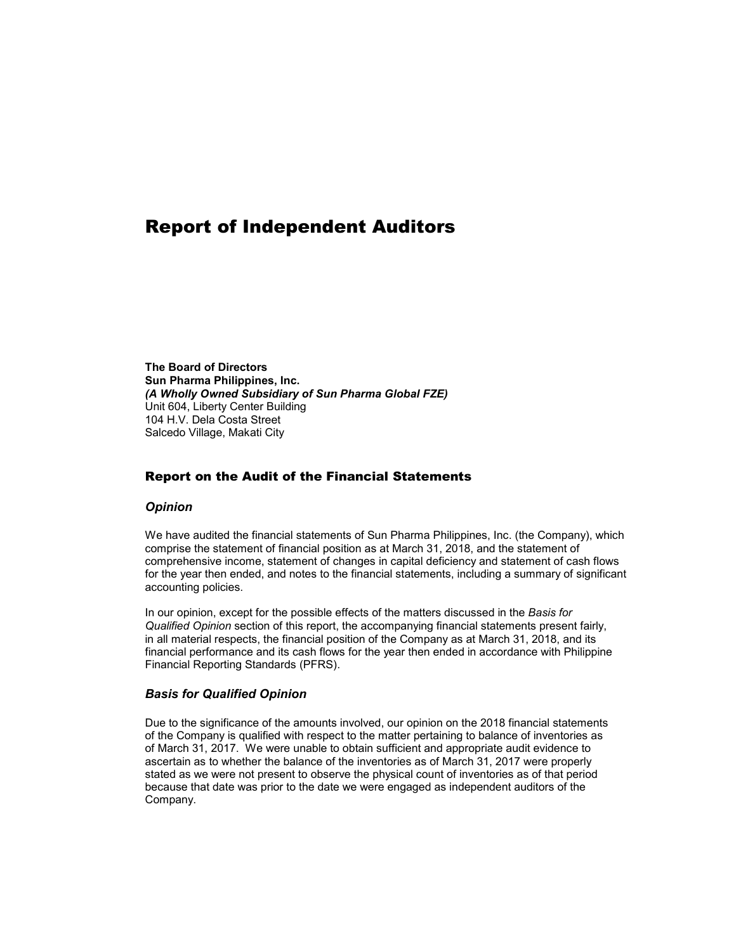# Report of Independent Auditors

**The Board of Directors Sun Pharma Philippines, Inc.**  *(A Wholly Owned Subsidiary of Sun Pharma Global FZE)* Unit 604, Liberty Center Building 104 H.V. Dela Costa Street Salcedo Village, Makati City

### Report on the Audit of the Financial Statements

#### *Opinion*

We have audited the financial statements of Sun Pharma Philippines, Inc. (the Company), which comprise the statement of financial position as at March 31, 2018, and the statement of comprehensive income, statement of changes in capital deficiency and statement of cash flows for the year then ended, and notes to the financial statements, including a summary of significant accounting policies.

In our opinion, except for the possible effects of the matters discussed in the *Basis for Qualified Opinion* section of this report, the accompanying financial statements present fairly, in all material respects, the financial position of the Company as at March 31, 2018, and its financial performance and its cash flows for the year then ended in accordance with Philippine Financial Reporting Standards (PFRS).

#### *Basis for Qualified Opinion*

Due to the significance of the amounts involved, our opinion on the 2018 financial statements of the Company is qualified with respect to the matter pertaining to balance of inventories as of March 31, 2017. We were unable to obtain sufficient and appropriate audit evidence to ascertain as to whether the balance of the inventories as of March 31, 2017 were properly stated as we were not present to observe the physical count of inventories as of that period because that date was prior to the date we were engaged as independent auditors of the Company.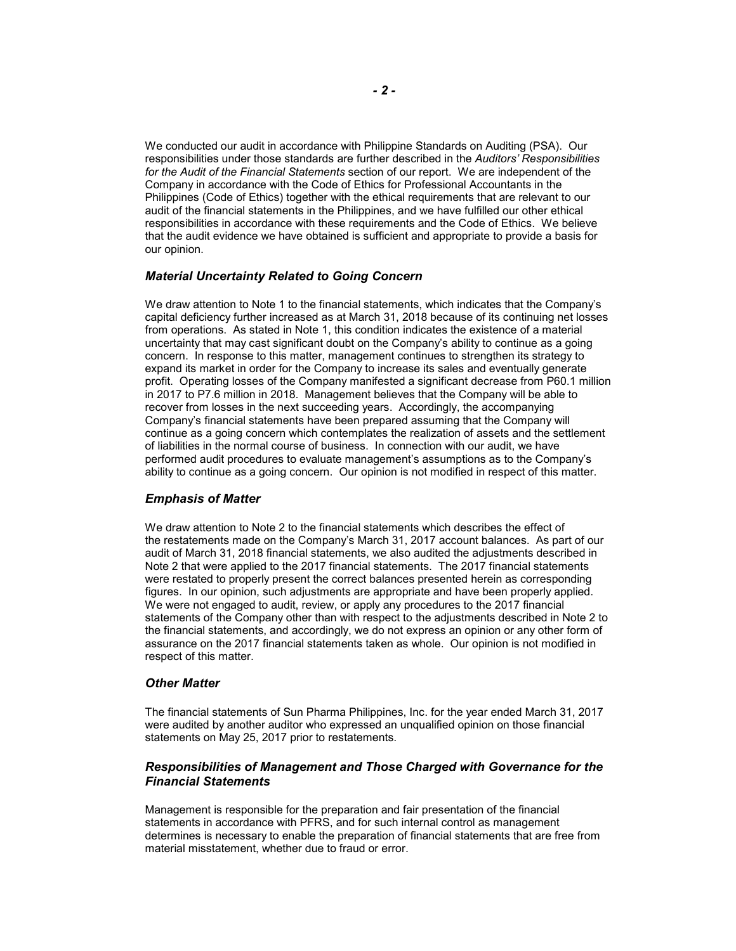We conducted our audit in accordance with Philippine Standards on Auditing (PSA). Our responsibilities under those standards are further described in the *Auditors' Responsibilities for the Audit of the Financial Statements* section of our report. We are independent of the Company in accordance with the Code of Ethics for Professional Accountants in the Philippines (Code of Ethics) together with the ethical requirements that are relevant to our audit of the financial statements in the Philippines, and we have fulfilled our other ethical responsibilities in accordance with these requirements and the Code of Ethics. We believe that the audit evidence we have obtained is sufficient and appropriate to provide a basis for our opinion.

#### *Material Uncertainty Related to Going Concern*

We draw attention to Note 1 to the financial statements, which indicates that the Company's capital deficiency further increased as at March 31, 2018 because of its continuing net losses from operations. As stated in Note 1, this condition indicates the existence of a material uncertainty that may cast significant doubt on the Company's ability to continue as a going concern. In response to this matter, management continues to strengthen its strategy to expand its market in order for the Company to increase its sales and eventually generate profit. Operating losses of the Company manifested a significant decrease from P60.1 million in 2017 to P7.6 million in 2018. Management believes that the Company will be able to recover from losses in the next succeeding years. Accordingly, the accompanying Company's financial statements have been prepared assuming that the Company will continue as a going concern which contemplates the realization of assets and the settlement of liabilities in the normal course of business. In connection with our audit, we have performed audit procedures to evaluate management's assumptions as to the Company's ability to continue as a going concern. Our opinion is not modified in respect of this matter.

#### *Emphasis of Matter*

We draw attention to Note 2 to the financial statements which describes the effect of the restatements made on the Company's March 31, 2017 account balances. As part of our audit of March 31, 2018 financial statements, we also audited the adjustments described in Note 2 that were applied to the 2017 financial statements. The 2017 financial statements were restated to properly present the correct balances presented herein as corresponding figures. In our opinion, such adjustments are appropriate and have been properly applied. We were not engaged to audit, review, or apply any procedures to the 2017 financial statements of the Company other than with respect to the adjustments described in Note 2 to the financial statements, and accordingly, we do not express an opinion or any other form of assurance on the 2017 financial statements taken as whole. Our opinion is not modified in respect of this matter.

#### *Other Matter*

The financial statements of Sun Pharma Philippines, Inc. for the year ended March 31, 2017 were audited by another auditor who expressed an unqualified opinion on those financial statements on May 25, 2017 prior to restatements.

### *Responsibilities of Management and Those Charged with Governance for the Financial Statements*

Management is responsible for the preparation and fair presentation of the financial statements in accordance with PFRS, and for such internal control as management determines is necessary to enable the preparation of financial statements that are free from material misstatement, whether due to fraud or error.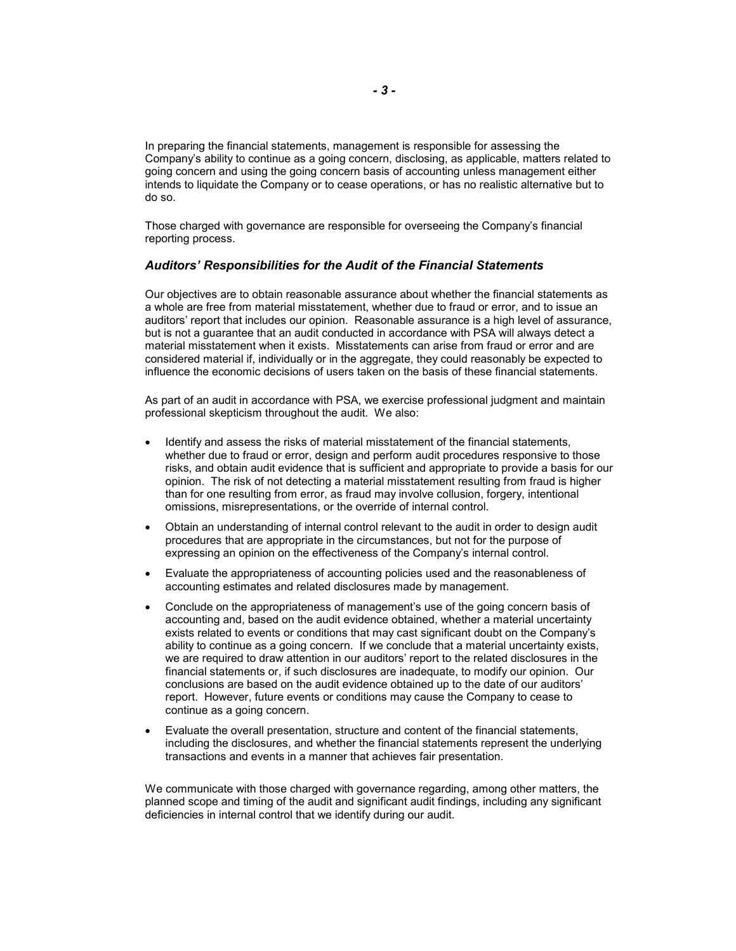In preparing the financial statements, management is responsible for assessing the Company's ability to continue as a going concern, disclosing, as applicable, matters related to going concern and using the going concern basis of accounting unless management either intends to liquidate the Company or to cease operations, or has no realistic alternative but to do so.

Those charged with governance are responsible for overseeing the Company's financial reporting process.

#### *Auditors' Responsibilities for the Audit of the Financial Statements*

Our objectives are to obtain reasonable assurance about whether the financial statements as a whole are free from material misstatement, whether due to fraud or error, and to issue an auditors' report that includes our opinion. Reasonable assurance is a high level of assurance, but is not a guarantee that an audit conducted in accordance with PSA will always detect a material misstatement when it exists. Misstatements can arise from fraud or error and are considered material if, individually or in the aggregate, they could reasonably be expected to influence the economic decisions of users taken on the basis of these financial statements.

As part of an audit in accordance with PSA, we exercise professional judgment and maintain professional skepticism throughout the audit. We also:

- Identify and assess the risks of material misstatement of the financial statements, whether due to fraud or error, design and perform audit procedures responsive to those risks, and obtain audit evidence that is sufficient and appropriate to provide a basis for our opinion. The risk of not detecting a material misstatement resulting from fraud is higher than for one resulting from error, as fraud may involve collusion, forgery, intentional omissions, misrepresentations, or the override of internal control.
- Obtain an understanding of internal control relevant to the audit in order to design audit procedures that are appropriate in the circumstances, but not for the purpose of expressing an opinion on the effectiveness of the Company's internal control.
- Evaluate the appropriateness of accounting policies used and the reasonableness of accounting estimates and related disclosures made by management.
- Conclude on the appropriateness of management's use of the going concern basis of accounting and, based on the audit evidence obtained, whether a material uncertainty exists related to events or conditions that may cast significant doubt on the Company's ability to continue as a going concern. If we conclude that a material uncertainty exists, we are required to draw attention in our auditors' report to the related disclosures in the financial statements or, if such disclosures are inadequate, to modify our opinion. Our conclusions are based on the audit evidence obtained up to the date of our auditors' report. However, future events or conditions may cause the Company to cease to continue as a going concern.
- Evaluate the overall presentation, structure and content of the financial statements, including the disclosures, and whether the financial statements represent the underlying transactions and events in a manner that achieves fair presentation.

We communicate with those charged with governance regarding, among other matters, the planned scope and timing of the audit and significant audit findings, including any significant deficiencies in internal control that we identify during our audit.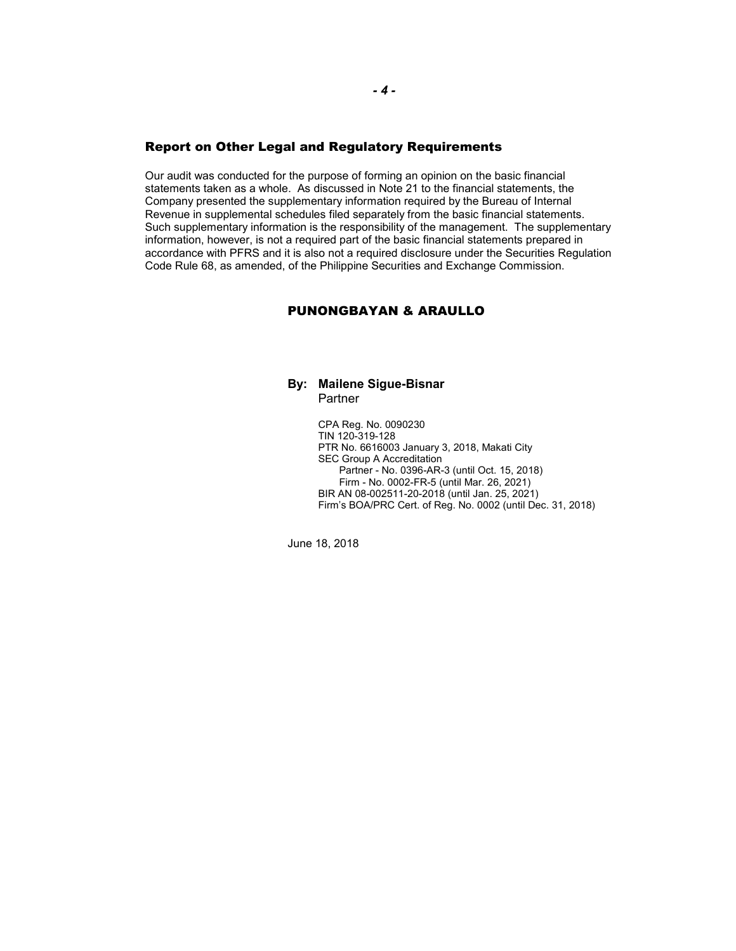#### Report on Other Legal and Regulatory Requirements

Our audit was conducted for the purpose of forming an opinion on the basic financial statements taken as a whole. As discussed in Note 21 to the financial statements, the Company presented the supplementary information required by the Bureau of Internal Revenue in supplemental schedules filed separately from the basic financial statements. Such supplementary information is the responsibility of the management. The supplementary information, however, is not a required part of the basic financial statements prepared in accordance with PFRS and it is also not a required disclosure under the Securities Regulation Code Rule 68, as amended, of the Philippine Securities and Exchange Commission.

## PUNONGBAYAN & ARAULLO

#### **By: Mailene Sigue-Bisnar**  Partner

 CPA Reg. No. 0090230 TIN 120-319-128 PTR No. 6616003 January 3, 2018, Makati City SEC Group A Accreditation Partner - No. 0396-AR-3 (until Oct. 15, 2018) Firm - No. 0002-FR-5 (until Mar. 26, 2021) BIR AN 08-002511-20-2018 (until Jan. 25, 2021) Firm's BOA/PRC Cert. of Reg. No. 0002 (until Dec. 31, 2018)

June 18, 2018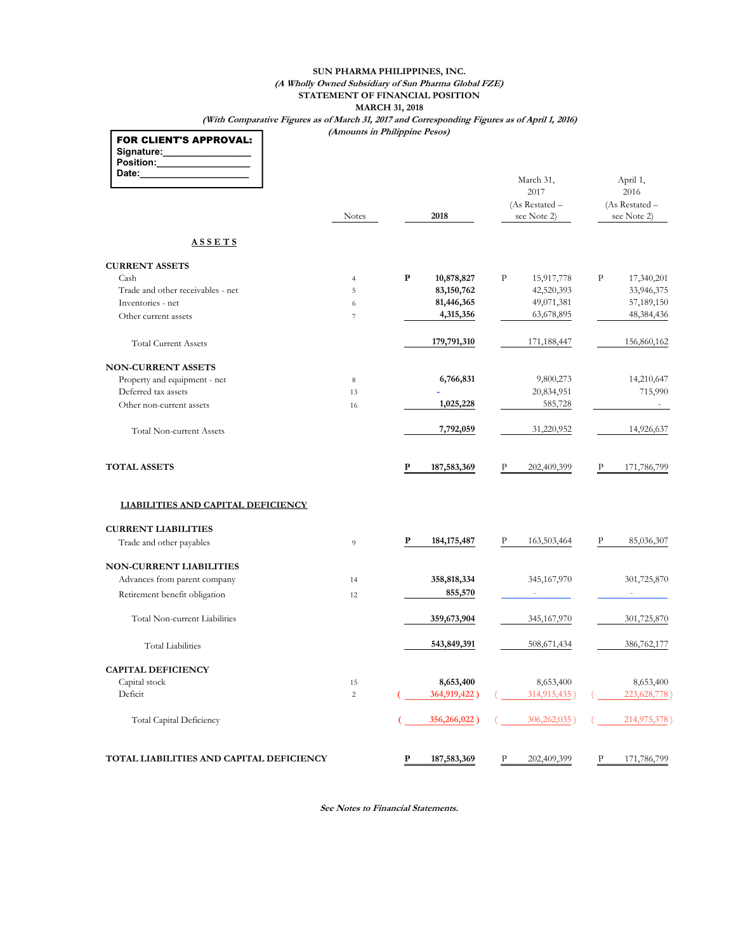#### **SUN PHARMA PHILIPPINES, INC.**

#### **(A Wholly Owned Subsidiary of Sun Pharma Global FZE)**

**STATEMENT OF FINANCIAL POSITION**

#### **MARCH 31, 2018**

**(With Comparative Figures as of March 31, 2017 and Corresponding Figures as of April 1, 2016)**

**(Amounts in Philippine Pesos)**

| <b>FOR CLIENT'S APPROVAL:</b><br>Signature:<br>Position: |                | (Amounts in Philippine Pesos) |              |                                     |              |                                        |
|----------------------------------------------------------|----------------|-------------------------------|--------------|-------------------------------------|--------------|----------------------------------------|
| Date:                                                    |                |                               |              | March 31,<br>2017<br>(As Restated - |              | April 1,<br>2016<br>$(As$ Restated $-$ |
|                                                          | <b>Notes</b>   | 2018                          |              | see Note 2)                         |              | see Note 2)                            |
| <b>ASSETS</b>                                            |                |                               |              |                                     |              |                                        |
| <b>CURRENT ASSETS</b>                                    |                |                               |              |                                     |              |                                        |
| Cash                                                     | $\overline{4}$ | P<br>10,878,827               | P            | 15,917,778                          | $\mathbf{P}$ | 17,340,201                             |
| Trade and other receivables - net                        | 5              | 83,150,762                    |              | 42,520,393                          |              | 33,946,375                             |
| Inventories - net                                        | 6              | 81,446,365                    |              | 49,071,381                          |              | 57,189,150                             |
| Other current assets                                     | 7              | 4,315,356                     |              | 63,678,895                          |              | 48,384,436                             |
| <b>Total Current Assets</b>                              |                | 179,791,310                   |              | 171,188,447                         |              | 156,860,162                            |
| <b>NON-CURRENT ASSETS</b>                                |                |                               |              |                                     |              |                                        |
| Property and equipment - net                             | 8              | 6,766,831                     |              | 9,800,273                           |              | 14,210,647                             |
| Deferred tax assets                                      | 13             |                               |              | 20,834,951                          |              | 715,990                                |
| Other non-current assets                                 | 16             | 1,025,228                     |              | 585,728                             |              |                                        |
| <b>Total Non-current Assets</b>                          |                | 7,792,059                     |              | 31,220,952                          |              | 14,926,637                             |
| <b>TOTAL ASSETS</b>                                      |                | P<br>187,583,369              | P            | 202,409,399                         | $\mathbf{P}$ | 171,786,799                            |
| <b>LIABILITIES AND CAPITAL DEFICIENCY</b>                |                |                               |              |                                     |              |                                        |
| <b>CURRENT LIABILITIES</b>                               |                |                               |              |                                     |              |                                        |
| Trade and other payables                                 | 9              | P<br>184, 175, 487            | P            | 163,503,464                         | P            | 85,036,307                             |
| NON-CURRENT LIABILITIES                                  |                |                               |              |                                     |              |                                        |
| Advances from parent company                             | 14             | 358,818,334                   |              | 345, 167, 970                       |              | 301,725,870                            |
| Retirement benefit obligation                            | 12             | 855,570                       |              |                                     |              |                                        |
| Total Non-current Liabilities                            |                | 359,673,904                   |              | 345, 167, 970                       |              | 301,725,870                            |
| <b>Total Liabilities</b>                                 |                | 543,849,391                   |              | 508, 671, 434                       |              | 386,762,177                            |
| <b>CAPITAL DEFICIENCY</b>                                |                |                               |              |                                     |              |                                        |
| Capital stock                                            | 15             | 8,653,400                     |              | 8,653,400                           |              | 8,653,400                              |
| Deficit                                                  | $\sqrt{2}$     | 364,919,422)                  |              | 314,915,435)                        |              | 223, 628, 778                          |
| Total Capital Deficiency                                 |                | 356,266,022)                  |              | 306,262,035)                        |              | 214,975,378)                           |
| TOTAL LIABILITIES AND CAPITAL DEFICIENCY                 |                | $\mathbf P$<br>187,583,369    | $\, {\bf p}$ | 202,409,399                         | $\, {\bf p}$ | 171,786,799                            |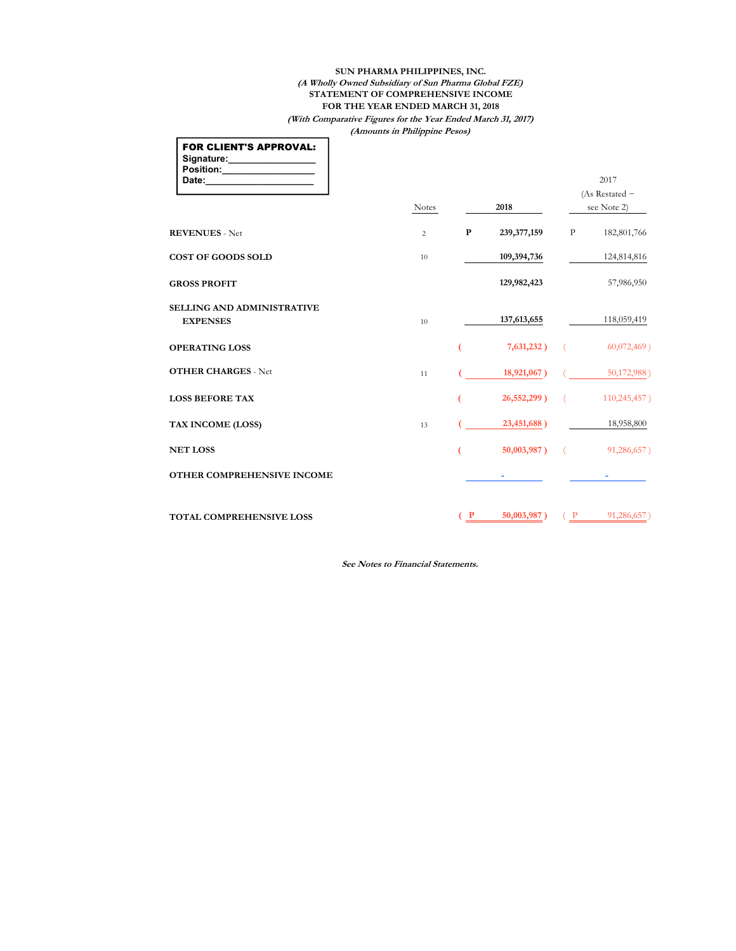#### **SUN PHARMA PHILIPPINES, INC. (A Wholly Owned Subsidiary of Sun Pharma Global FZE) STATEMENT OF COMPREHENSIVE INCOME FOR THE YEAR ENDED MARCH 31, 2018**

**(With Comparative Figures for the Year Ended March 31, 2017) (Amounts in Philippine Pesos)**

| <b>FOR CLIENT'S APPROVAL:</b><br>Signature:___________________<br>Position:__________________                                                                                                                                 |                |              |                  |              |                  |
|-------------------------------------------------------------------------------------------------------------------------------------------------------------------------------------------------------------------------------|----------------|--------------|------------------|--------------|------------------|
| Date: and the state of the state of the state of the state of the state of the state of the state of the state of the state of the state of the state of the state of the state of the state of the state of the state of the |                |              |                  |              | 2017             |
|                                                                                                                                                                                                                               |                |              |                  |              | (As Restated $-$ |
|                                                                                                                                                                                                                               | <b>Notes</b>   |              | 2018             |              | see Note 2)      |
| <b>REVENUES</b> - Net                                                                                                                                                                                                         | $\overline{c}$ | $\mathbf{P}$ | 239, 377, 159    | $\mathbf{p}$ | 182,801,766      |
| <b>COST OF GOODS SOLD</b>                                                                                                                                                                                                     | 10             |              | 109,394,736      |              | 124,814,816      |
| <b>GROSS PROFIT</b>                                                                                                                                                                                                           |                |              | 129,982,423      |              | 57,986,950       |
| <b>SELLING AND ADMINISTRATIVE</b><br><b>EXPENSES</b>                                                                                                                                                                          | 10             |              | 137,613,655      |              | 118,059,419      |
| <b>OPERATING LOSS</b>                                                                                                                                                                                                         |                | 6            | $7,631,232$ (    |              | $60,072,469$ )   |
| <b>OTHER CHARGES - Net</b>                                                                                                                                                                                                    | 11             |              | $18,921,067$ )   |              | 50,172,988)      |
| <b>LOSS BEFORE TAX</b>                                                                                                                                                                                                        |                | 6            | $26,552,299$ )   | $\sim$ 6     | 110,245,457)     |
| TAX INCOME (LOSS)                                                                                                                                                                                                             | 13             |              | 23,451,688)      |              | 18,958,800       |
| <b>NET LOSS</b>                                                                                                                                                                                                               |                | 6            | $50,003,987$ ) ( |              | 91,286,657)      |
| OTHER COMPREHENSIVE INCOME                                                                                                                                                                                                    |                |              |                  |              |                  |
| <b>TOTAL COMPREHENSIVE LOSS</b>                                                                                                                                                                                               |                | (P)          | $50,003,987$ )   | (P)          | 91,286,657)      |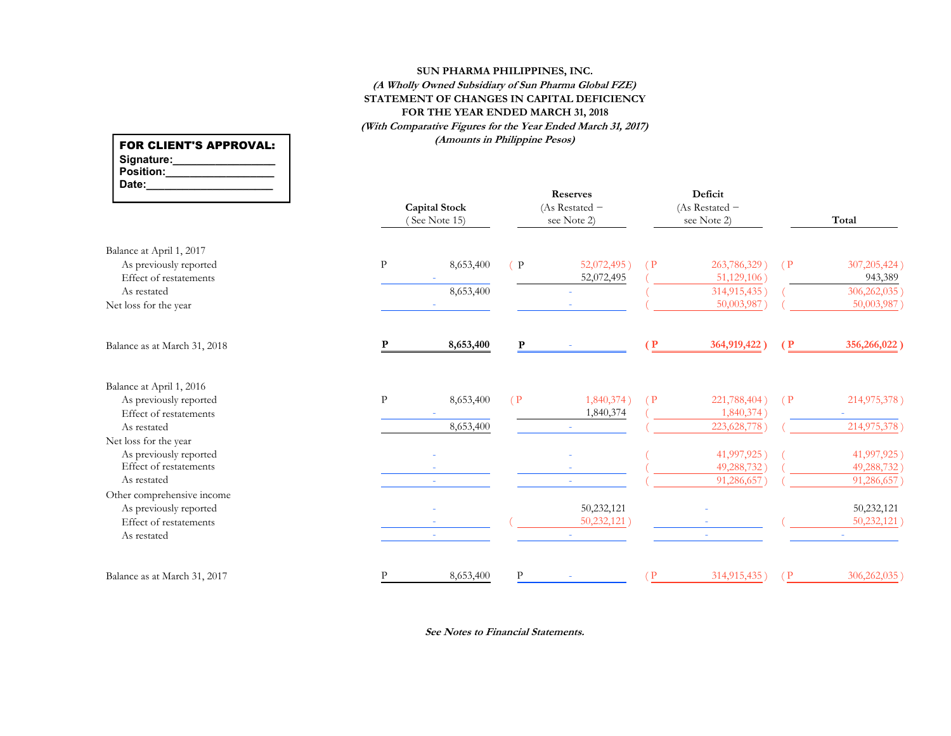#### **SUN PHARMA PHILIPPINES, INC. (A Wholly Owned Subsidiary of Sun Pharma Global FZE) STATEMENT OF CHANGES IN CAPITAL DEFICIENCY FOR THE YEAR ENDED MARCH 31, 2018 (With Comparative Figures for the Year Ended March 31, 2017) (Amounts in Philippine Pesos)**

 $\vert$  FOR CLIENT'S APPROVAL:

| Signature:__________________<br>Date: |              | <b>Capital Stock</b> |     | <b>Reserves</b><br>(As Restated $-$ |     | Deficit<br>(As Restated $-$ |     |                |
|---------------------------------------|--------------|----------------------|-----|-------------------------------------|-----|-----------------------------|-----|----------------|
|                                       |              | See Note 15)         |     | see Note 2)                         |     | see Note 2)                 |     | Total          |
| Balance at April 1, 2017              |              |                      |     |                                     |     |                             |     |                |
| As previously reported                | $\mathbf{P}$ | 8,653,400            | (P) | 52,072,495)                         | (P) | 263,786,329)                | (P) | 307, 205, 424) |
| Effect of restatements                |              |                      |     | 52,072,495                          |     | $51,129,106$ )              |     | 943,389        |
| As restated                           |              | 8,653,400            |     |                                     |     | 314,915,435)                |     | 306,262,035)   |
| Net loss for the year                 |              |                      |     |                                     |     | 50,003,987                  |     | 50,003,987     |
| Balance as at March 31, 2018          |              | 8,653,400            | P   |                                     | (P) | 364,919,422                 | (P) | 356,266,022)   |
| Balance at April 1, 2016              |              |                      |     |                                     |     |                             |     |                |
| As previously reported                | P            | 8,653,400            | (P) | 1,840,374)                          | (P) | 221,788,404)                | (P) | 214,975,378)   |
| Effect of restatements                |              |                      |     | 1,840,374                           |     | 1,840,374)                  |     |                |
| As restated                           |              | 8,653,400            |     |                                     |     | 223, 628, 778               |     | 214,975,378    |
| Net loss for the year                 |              |                      |     |                                     |     |                             |     |                |
| As previously reported                |              |                      |     |                                     |     | 41,997,925)                 |     | 41,997,925)    |
| Effect of restatements                |              |                      |     |                                     |     | 49,288,732                  |     | 49,288,732     |
| As restated                           |              |                      |     |                                     |     | 91,286,657                  |     | 91,286,657)    |
| Other comprehensive income            |              |                      |     |                                     |     |                             |     |                |
| As previously reported                |              |                      |     | 50,232,121                          |     |                             |     | 50,232,121     |
| Effect of restatements                |              |                      |     | 50,232,121)                         |     |                             |     | 50,232,121)    |
| As restated                           |              |                      |     |                                     |     |                             |     |                |
| Balance as at March 31, 2017          | $\mathbf{P}$ | 8,653,400            | P   |                                     | (P) | 314,915,435)                | (P) | 306,262,035    |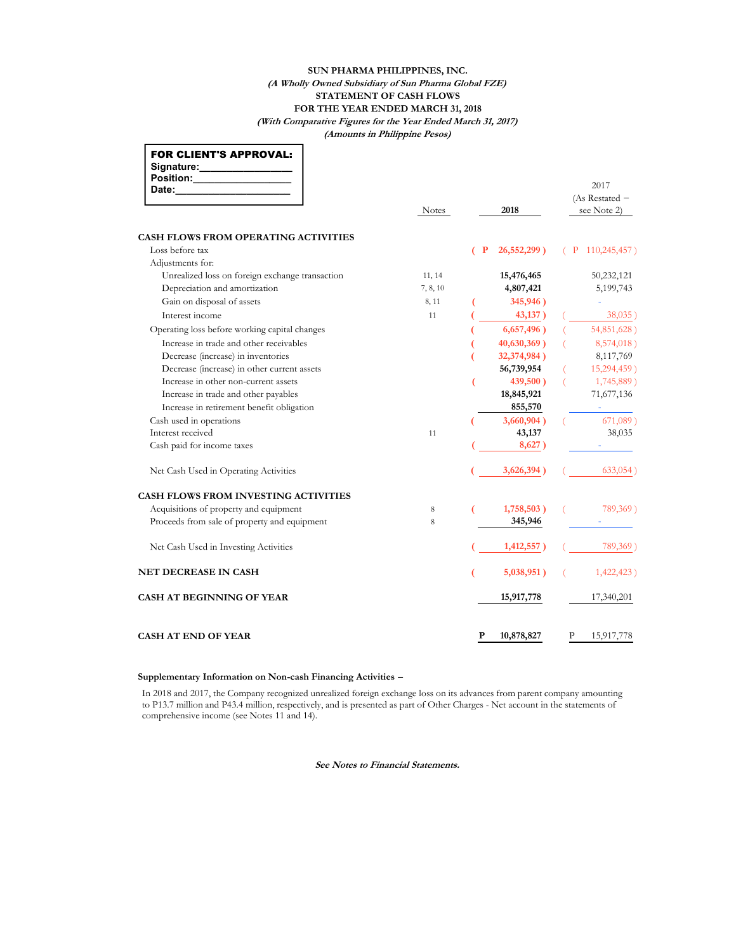#### **SUN PHARMA PHILIPPINES, INC. (A Wholly Owned Subsidiary of Sun Pharma Global FZE) STATEMENT OF CASH FLOWS FOR THE YEAR ENDED MARCH 31, 2018**

**(With Comparative Figures for the Year Ended March 31, 2017)**

**(Amounts in Philippine Pesos)**

| <b>FOR CLIENT'S APPROVAL:</b>                   |              |                             |                   |
|-------------------------------------------------|--------------|-----------------------------|-------------------|
| Signature:<br><b>Position:</b>                  |              |                             |                   |
| Date:                                           |              |                             | 2017              |
|                                                 |              |                             | (As Restated $-$  |
|                                                 | <b>Notes</b> | 2018                        | see Note 2)       |
| <b>CASH FLOWS FROM OPERATING ACTIVITIES</b>     |              |                             |                   |
| Loss before tax                                 |              | 26,552,299)<br>$\mathbf{P}$ | (P 110, 245, 457) |
| Adjustments for:                                |              |                             |                   |
| Unrealized loss on foreign exchange transaction | 11, 14       | 15,476,465                  | 50,232,121        |
| Depreciation and amortization                   | 7, 8, 10     | 4,807,421                   | 5,199,743         |
| Gain on disposal of assets                      | 8, 11        | 345,946)                    |                   |
| Interest income                                 | 11           | 43,137)                     | 38,035)           |
| Operating loss before working capital changes   |              | 6,657,496)                  | 54,851,628)       |
| Increase in trade and other receivables         |              | 40,630,369)                 | 8,574,018)        |
| Decrease (increase) in inventories              |              | 32,374,984)                 | 8,117,769         |
| Decrease (increase) in other current assets     |              | 56,739,954                  | 15,294,459)       |
| Increase in other non-current assets            |              | 439,500)                    | 1,745,889)        |
| Increase in trade and other payables            |              | 18,845,921                  | 71,677,136        |
| Increase in retirement benefit obligation       |              | 855,570                     |                   |
| Cash used in operations                         |              | 3,660,904)                  | $671,089$ )       |
| Interest received                               | 11           | 43,137                      | 38,035            |
| Cash paid for income taxes                      |              | 8,627)                      |                   |
| Net Cash Used in Operating Activities           |              | 3,626,394)                  | 633,054)          |
| <b>CASH FLOWS FROM INVESTING ACTIVITIES</b>     |              |                             |                   |
| Acquisitions of property and equipment          | 8            | 1,758,503)<br>6             | 789,369)          |
| Proceeds from sale of property and equipment    | 8            | 345,946                     |                   |
| Net Cash Used in Investing Activities           |              | 1,412,557)                  | 789,369)          |
| <b>NET DECREASE IN CASH</b>                     |              | 5,038,951)                  | 1,422,423)        |
| <b>CASH AT BEGINNING OF YEAR</b>                |              | 15,917,778                  | 17,340,201        |
| <b>CASH AT END OF YEAR</b>                      |              | P<br>10,878,827             | Р<br>15,917,778   |

#### **Supplementary Information on Non-cash Financing Activities ‒**

In 2018 and 2017, the Company recognized unrealized foreign exchange loss on its advances from parent company amounting to P13.7 million and P43.4 million, respectively, and is presented as part of Other Charges - Net account in the statements of comprehensive income (see Notes 11 and 14).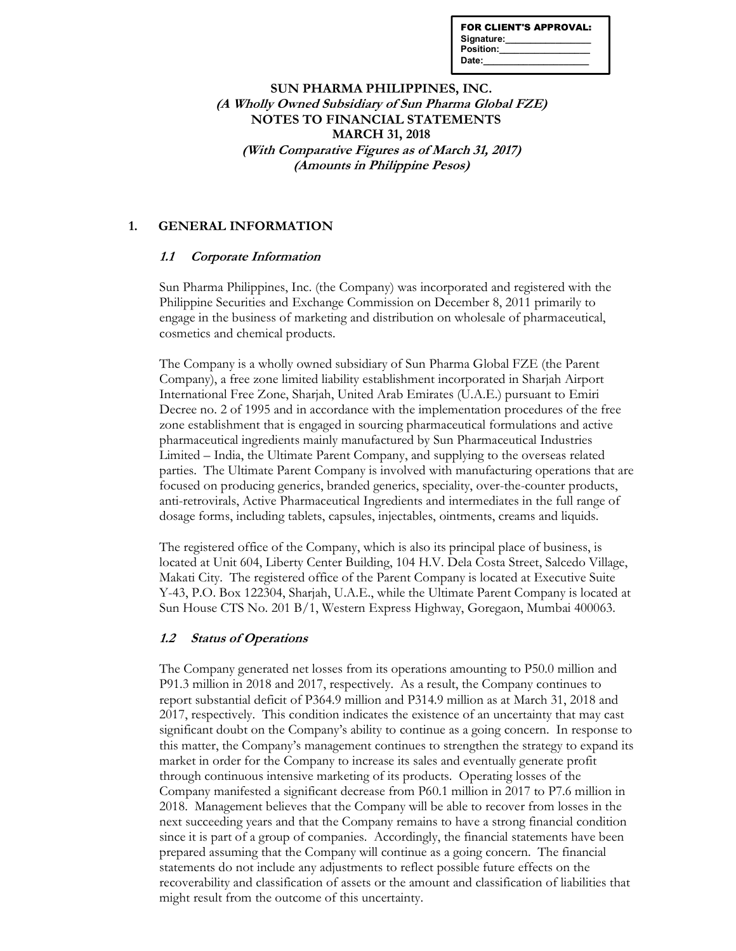| <b>FOR CLIENT'S APPROVAL:</b> |  |
|-------------------------------|--|
| Signature:                    |  |
| Position:                     |  |
| Date:                         |  |
|                               |  |

# **SUN PHARMA PHILIPPINES, INC. (A Wholly Owned Subsidiary of Sun Pharma Global FZE) NOTES TO FINANCIAL STATEMENTS MARCH 31, 2018 (With Comparative Figures as of March 31, 2017) (Amounts in Philippine Pesos)**

## **1. GENERAL INFORMATION**

## **1.1 Corporate Information**

Sun Pharma Philippines, Inc. (the Company) was incorporated and registered with the Philippine Securities and Exchange Commission on December 8, 2011 primarily to engage in the business of marketing and distribution on wholesale of pharmaceutical, cosmetics and chemical products.

The Company is a wholly owned subsidiary of Sun Pharma Global FZE (the Parent Company), a free zone limited liability establishment incorporated in Sharjah Airport International Free Zone, Sharjah, United Arab Emirates (U.A.E.) pursuant to Emiri Decree no. 2 of 1995 and in accordance with the implementation procedures of the free zone establishment that is engaged in sourcing pharmaceutical formulations and active pharmaceutical ingredients mainly manufactured by Sun Pharmaceutical Industries Limited – India, the Ultimate Parent Company, and supplying to the overseas related parties. The Ultimate Parent Company is involved with manufacturing operations that are focused on producing generics, branded generics, speciality, over-the-counter products, anti-retrovirals, Active Pharmaceutical Ingredients and intermediates in the full range of dosage forms, including tablets, capsules, injectables, ointments, creams and liquids.

The registered office of the Company, which is also its principal place of business, is located at Unit 604, Liberty Center Building, 104 H.V. Dela Costa Street, Salcedo Village, Makati City. The registered office of the Parent Company is located at Executive Suite Y-43, P.O. Box 122304, Sharjah, U.A.E., while the Ultimate Parent Company is located at Sun House CTS No. 201 B/1, Western Express Highway, Goregaon, Mumbai 400063.

## **1.2 Status of Operations**

The Company generated net losses from its operations amounting to P50.0 million and P91.3 million in 2018 and 2017, respectively. As a result, the Company continues to report substantial deficit of P364.9 million and P314.9 million as at March 31, 2018 and 2017, respectively. This condition indicates the existence of an uncertainty that may cast significant doubt on the Company's ability to continue as a going concern. In response to this matter, the Company's management continues to strengthen the strategy to expand its market in order for the Company to increase its sales and eventually generate profit through continuous intensive marketing of its products. Operating losses of the Company manifested a significant decrease from P60.1 million in 2017 to P7.6 million in 2018. Management believes that the Company will be able to recover from losses in the next succeeding years and that the Company remains to have a strong financial condition since it is part of a group of companies. Accordingly, the financial statements have been prepared assuming that the Company will continue as a going concern. The financial statements do not include any adjustments to reflect possible future effects on the recoverability and classification of assets or the amount and classification of liabilities that might result from the outcome of this uncertainty.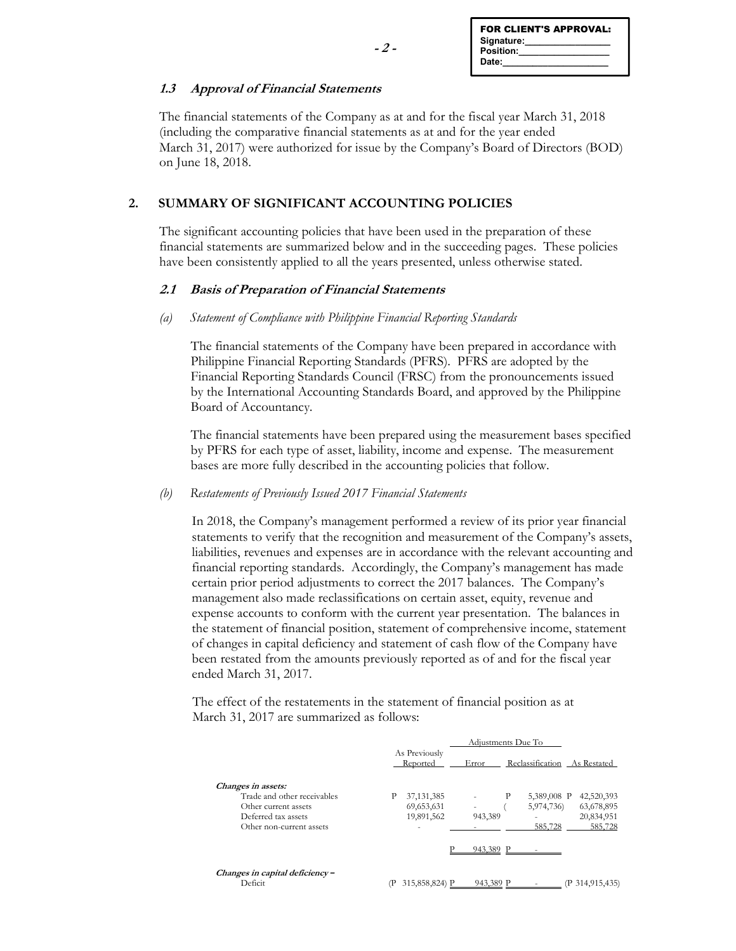## **1.3 Approval of Financial Statements**

The financial statements of the Company as at and for the fiscal year March 31, 2018 (including the comparative financial statements as at and for the year ended March 31, 2017) were authorized for issue by the Company's Board of Directors (BOD) on June 18, 2018.

## **2. SUMMARY OF SIGNIFICANT ACCOUNTING POLICIES**

The significant accounting policies that have been used in the preparation of these financial statements are summarized below and in the succeeding pages. These policies have been consistently applied to all the years presented, unless otherwise stated.

#### **2.1 Basis of Preparation of Financial Statements**

#### *(a) Statement of Compliance with Philippine Financial Reporting Standards*

The financial statements of the Company have been prepared in accordance with Philippine Financial Reporting Standards (PFRS). PFRS are adopted by the Financial Reporting Standards Council (FRSC) from the pronouncements issued by the International Accounting Standards Board, and approved by the Philippine Board of Accountancy.

The financial statements have been prepared using the measurement bases specified by PFRS for each type of asset, liability, income and expense. The measurement bases are more fully described in the accounting policies that follow.

#### *(b) Restatements of Previously Issued 2017 Financial Statements*

In 2018, the Company's management performed a review of its prior year financial statements to verify that the recognition and measurement of the Company's assets, liabilities, revenues and expenses are in accordance with the relevant accounting and financial reporting standards. Accordingly, the Company's management has made certain prior period adjustments to correct the 2017 balances. The Company's management also made reclassifications on certain asset, equity, revenue and expense accounts to conform with the current year presentation. The balances in the statement of financial position, statement of comprehensive income, statement of changes in capital deficiency and statement of cash flow of the Company have been restated from the amounts previously reported as of and for the fiscal year ended March 31, 2017.

The effect of the restatements in the statement of financial position as at March 31, 2017 are summarized as follows:

|                                                                                                                              |                                                    |                          | Adjustments Due To                                                                             |
|------------------------------------------------------------------------------------------------------------------------------|----------------------------------------------------|--------------------------|------------------------------------------------------------------------------------------------|
|                                                                                                                              | As Previously<br>Reported                          | Error                    | Reclassification<br>As Restated                                                                |
| Changes in assets:<br>Trade and other receivables<br>Other current assets<br>Deferred tax assets<br>Other non-current assets | Р<br>37, 131, 385<br>69,653,631<br>19,891,562<br>۰ | ٠<br>$\sim$<br>943,389   | P<br>5,389,008 P<br>42,520,393<br>63,678,895<br>5,974,736)<br>20,834,951<br>585,728<br>585,728 |
|                                                                                                                              |                                                    | 943,389 P                |                                                                                                |
| Changes in capital deficiency-<br>Deficit                                                                                    | P                                                  | 315,858,824) P 943,389 P | (P 314,915,435)                                                                                |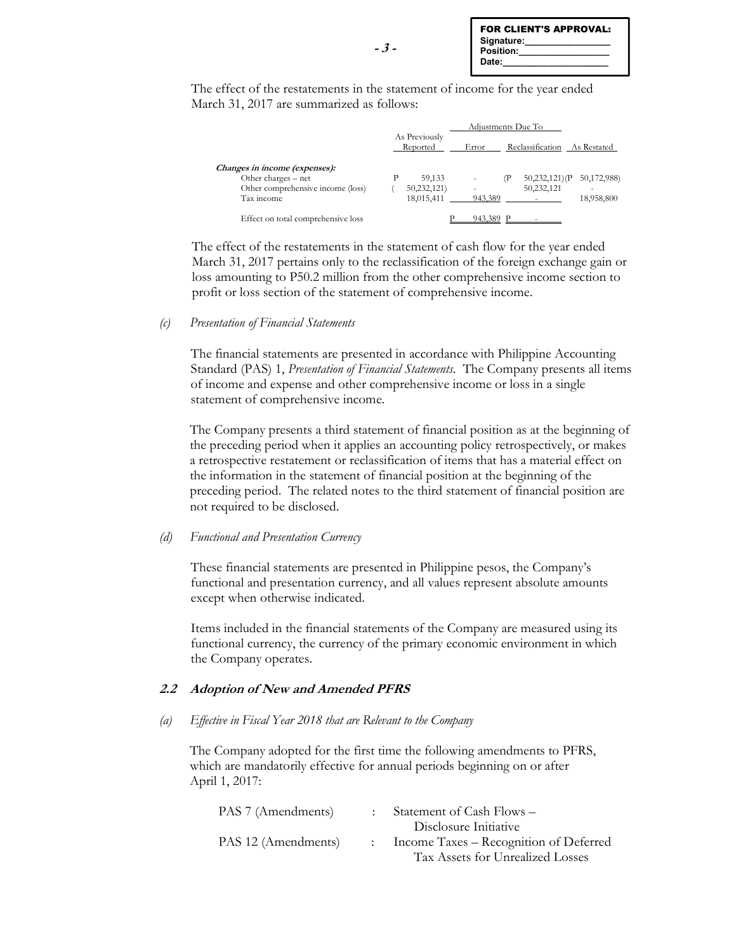| <b>FOR CLIENT'S APPROVAL:</b> |
|-------------------------------|
| Signature:                    |
| Position:                     |
| Date:                         |
|                               |

The effect of the restatements in the statement of income for the year ended March 31, 2017 are summarized as follows:

|                                    |   |                           | Adjustments Due To |                  |             |
|------------------------------------|---|---------------------------|--------------------|------------------|-------------|
|                                    |   | As Previously<br>Reported | Error              | Reclassification | As Restated |
| Changes in income (expenses):      |   |                           |                    |                  |             |
| Other charges – net                | Р | 59,133                    | ۰                  | $50,232,121)$ (P | 50,172,988) |
| Other comprehensive income (loss)  |   | 50,232,121                | ٠                  | 50,232,121       | ٠           |
| Tax income                         |   | 18,015,411                | 943,389            |                  | 18,958,800  |
| Effect on total comprehensive loss |   |                           | 943.389            |                  |             |

The effect of the restatements in the statement of cash flow for the year ended March 31, 2017 pertains only to the reclassification of the foreign exchange gain or loss amounting to P50.2 million from the other comprehensive income section to profit or loss section of the statement of comprehensive income.

#### *(c) Presentation of Financial Statements*

The financial statements are presented in accordance with Philippine Accounting Standard (PAS) 1, *Presentation of Financial Statements*. The Company presents all items of income and expense and other comprehensive income or loss in a single statement of comprehensive income.

The Company presents a third statement of financial position as at the beginning of the preceding period when it applies an accounting policy retrospectively, or makes a retrospective restatement or reclassification of items that has a material effect on the information in the statement of financial position at the beginning of the preceding period. The related notes to the third statement of financial position are not required to be disclosed.

#### *(d) Functional and Presentation Currency*

These financial statements are presented in Philippine pesos, the Company's functional and presentation currency, and all values represent absolute amounts except when otherwise indicated.

Items included in the financial statements of the Company are measured using its functional currency, the currency of the primary economic environment in which the Company operates.

#### **2.2 Adoption of New and Amended PFRS**

#### *(a) Effective in Fiscal Year 2018 that are Relevant to the Company*

The Company adopted for the first time the following amendments to PFRS, which are mandatorily effective for annual periods beginning on or after April 1, 2017:

| PAS 7 (Amendments)  | Statement of Cash Flows -              |
|---------------------|----------------------------------------|
|                     | Disclosure Initiative                  |
| PAS 12 (Amendments) | Income Taxes – Recognition of Deferred |
|                     | Tax Assets for Unrealized Losses       |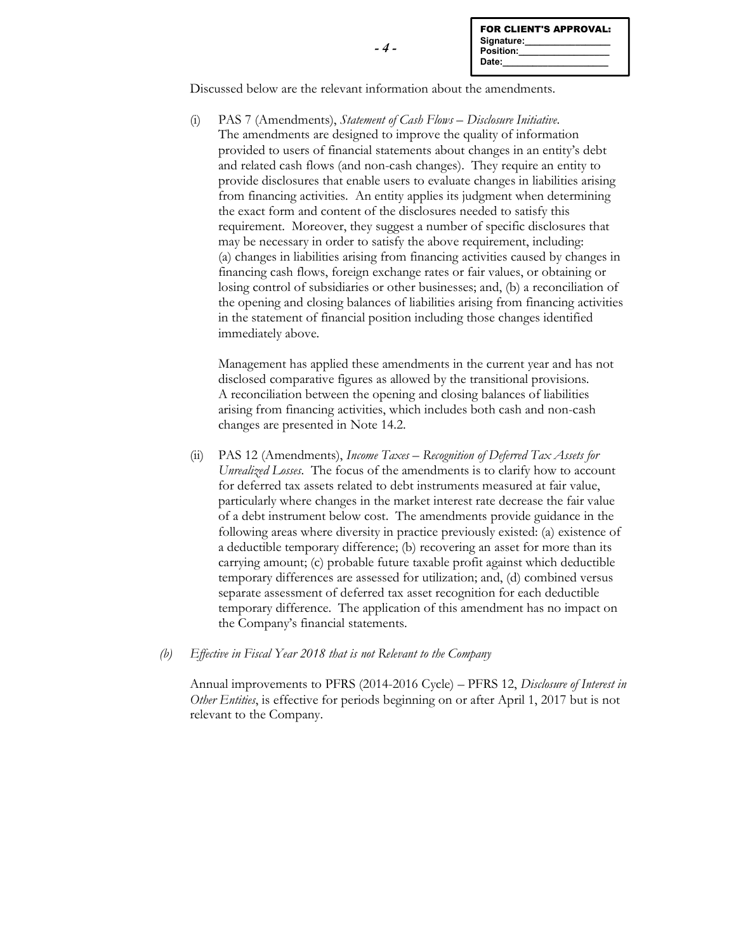Discussed below are the relevant information about the amendments.

(i) PAS 7 (Amendments), *Statement of Cash Flows – Disclosure Initiative*. The amendments are designed to improve the quality of information provided to users of financial statements about changes in an entity's debt and related cash flows (and non-cash changes). They require an entity to provide disclosures that enable users to evaluate changes in liabilities arising from financing activities. An entity applies its judgment when determining the exact form and content of the disclosures needed to satisfy this requirement. Moreover, they suggest a number of specific disclosures that may be necessary in order to satisfy the above requirement, including: (a) changes in liabilities arising from financing activities caused by changes in financing cash flows, foreign exchange rates or fair values, or obtaining or losing control of subsidiaries or other businesses; and, (b) a reconciliation of the opening and closing balances of liabilities arising from financing activities in the statement of financial position including those changes identified immediately above.

Management has applied these amendments in the current year and has not disclosed comparative figures as allowed by the transitional provisions. A reconciliation between the opening and closing balances of liabilities arising from financing activities, which includes both cash and non-cash changes are presented in Note 14.2.

- (ii) PAS 12 (Amendments), *Income Taxes Recognition of Deferred Tax Assets for Unrealized Losses*. The focus of the amendments is to clarify how to account for deferred tax assets related to debt instruments measured at fair value, particularly where changes in the market interest rate decrease the fair value of a debt instrument below cost. The amendments provide guidance in the following areas where diversity in practice previously existed: (a) existence of a deductible temporary difference; (b) recovering an asset for more than its carrying amount; (c) probable future taxable profit against which deductible temporary differences are assessed for utilization; and, (d) combined versus separate assessment of deferred tax asset recognition for each deductible temporary difference. The application of this amendment has no impact on the Company's financial statements.
- *(b) Effective in Fiscal Year 2018 that is not Relevant to the Company*

Annual improvements to PFRS (2014-2016 Cycle) – PFRS 12, *Disclosure of Interest in Other Entities*, is effective for periods beginning on or after April 1, 2017 but is not relevant to the Company.

 **- 4 -**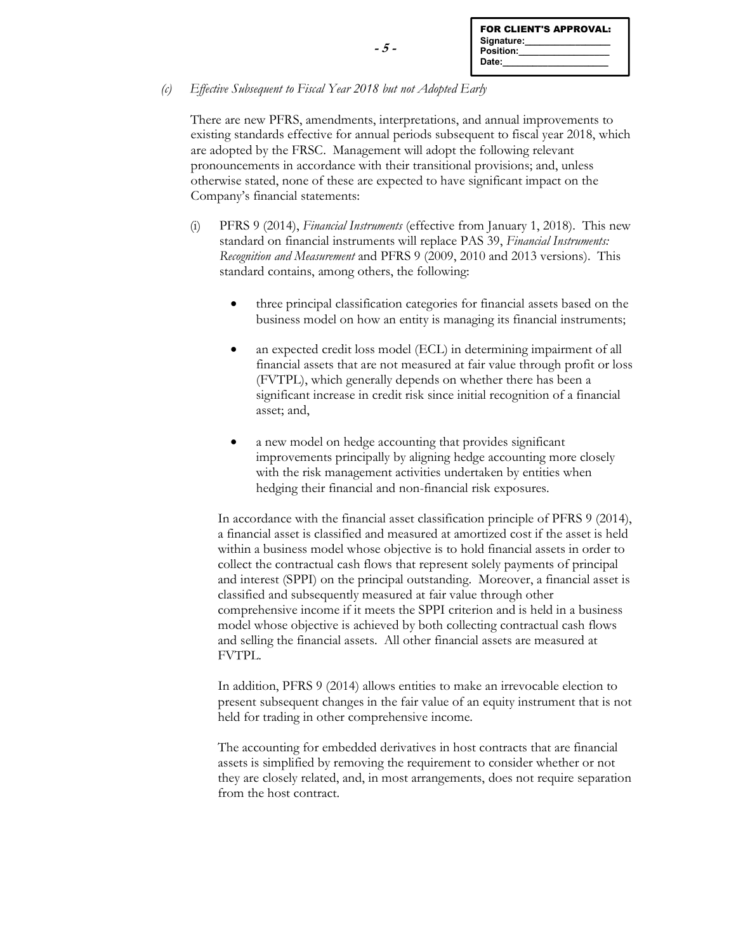# *(c) Effective Subsequent to Fiscal Year 2018 but not Adopted Early*

There are new PFRS, amendments, interpretations, and annual improvements to existing standards effective for annual periods subsequent to fiscal year 2018, which are adopted by the FRSC. Management will adopt the following relevant pronouncements in accordance with their transitional provisions; and, unless otherwise stated, none of these are expected to have significant impact on the Company's financial statements:

- (i) PFRS 9 (2014), *Financial Instruments* (effective from January 1, 2018). This new standard on financial instruments will replace PAS 39, *Financial Instruments: Recognition and Measurement* and PFRS 9 (2009, 2010 and 2013 versions). This standard contains, among others, the following:
	- three principal classification categories for financial assets based on the business model on how an entity is managing its financial instruments;
	- an expected credit loss model (ECL) in determining impairment of all financial assets that are not measured at fair value through profit or loss (FVTPL), which generally depends on whether there has been a significant increase in credit risk since initial recognition of a financial asset; and,
	- a new model on hedge accounting that provides significant improvements principally by aligning hedge accounting more closely with the risk management activities undertaken by entities when hedging their financial and non-financial risk exposures.

In accordance with the financial asset classification principle of PFRS 9 (2014), a financial asset is classified and measured at amortized cost if the asset is held within a business model whose objective is to hold financial assets in order to collect the contractual cash flows that represent solely payments of principal and interest (SPPI) on the principal outstanding. Moreover, a financial asset is classified and subsequently measured at fair value through other comprehensive income if it meets the SPPI criterion and is held in a business model whose objective is achieved by both collecting contractual cash flows and selling the financial assets. All other financial assets are measured at FVTPL.

In addition, PFRS 9 (2014) allows entities to make an irrevocable election to present subsequent changes in the fair value of an equity instrument that is not held for trading in other comprehensive income.

The accounting for embedded derivatives in host contracts that are financial assets is simplified by removing the requirement to consider whether or not they are closely related, and, in most arrangements, does not require separation from the host contract.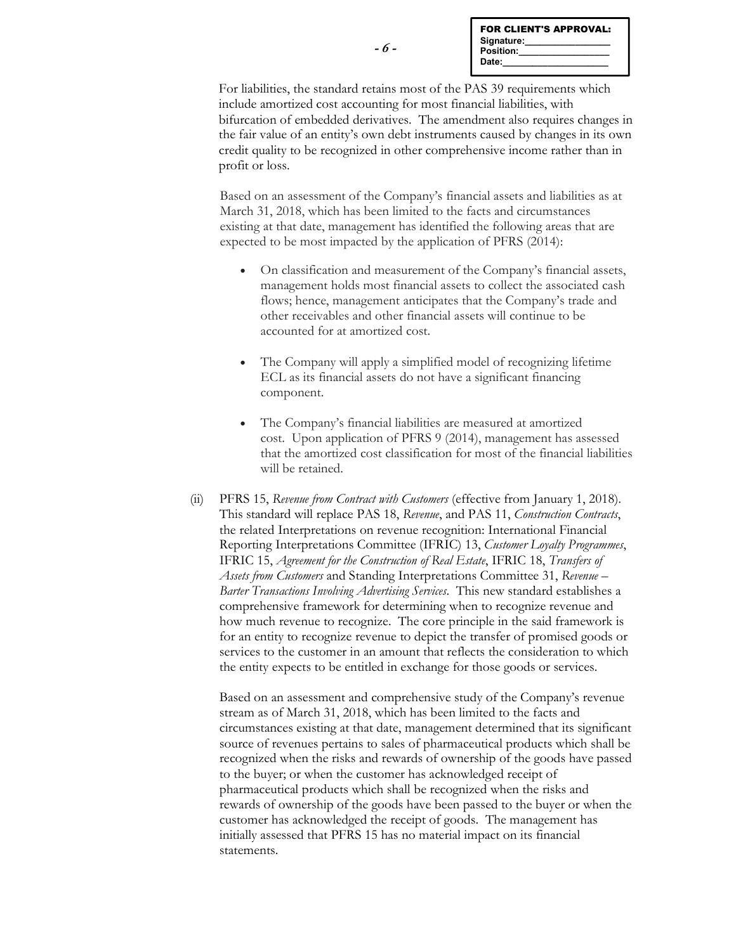For liabilities, the standard retains most of the PAS 39 requirements which include amortized cost accounting for most financial liabilities, with bifurcation of embedded derivatives. The amendment also requires changes in the fair value of an entity's own debt instruments caused by changes in its own credit quality to be recognized in other comprehensive income rather than in profit or loss.

Based on an assessment of the Company's financial assets and liabilities as at March 31, 2018, which has been limited to the facts and circumstances existing at that date, management has identified the following areas that are expected to be most impacted by the application of PFRS (2014):

- On classification and measurement of the Company's financial assets, management holds most financial assets to collect the associated cash flows; hence, management anticipates that the Company's trade and other receivables and other financial assets will continue to be accounted for at amortized cost.
- The Company will apply a simplified model of recognizing lifetime ECL as its financial assets do not have a significant financing component.
- The Company's financial liabilities are measured at amortized cost. Upon application of PFRS 9 (2014), management has assessed that the amortized cost classification for most of the financial liabilities will be retained.
- (ii) PFRS 15, *Revenue from Contract with Customers* (effective from January 1, 2018)*.* This standard will replace PAS 18, *Revenue*, and PAS 11, *Construction Contracts*, the related Interpretations on revenue recognition: International Financial Reporting Interpretations Committee (IFRIC) 13, *Customer Loyalty Programmes*, IFRIC 15, *Agreement for the Construction of Real Estate*, IFRIC 18, *Transfers of Assets from Customers* and Standing Interpretations Committee 31, *Revenue – Barter Transactions Involving Advertising Services*. This new standard establishes a comprehensive framework for determining when to recognize revenue and how much revenue to recognize. The core principle in the said framework is for an entity to recognize revenue to depict the transfer of promised goods or services to the customer in an amount that reflects the consideration to which the entity expects to be entitled in exchange for those goods or services.

 Based on an assessment and comprehensive study of the Company's revenue stream as of March 31, 2018, which has been limited to the facts and circumstances existing at that date, management determined that its significant source of revenues pertains to sales of pharmaceutical products which shall be recognized when the risks and rewards of ownership of the goods have passed to the buyer; or when the customer has acknowledged receipt of pharmaceutical products which shall be recognized when the risks and rewards of ownership of the goods have been passed to the buyer or when the customer has acknowledged the receipt of goods. The management has initially assessed that PFRS 15 has no material impact on its financial statements.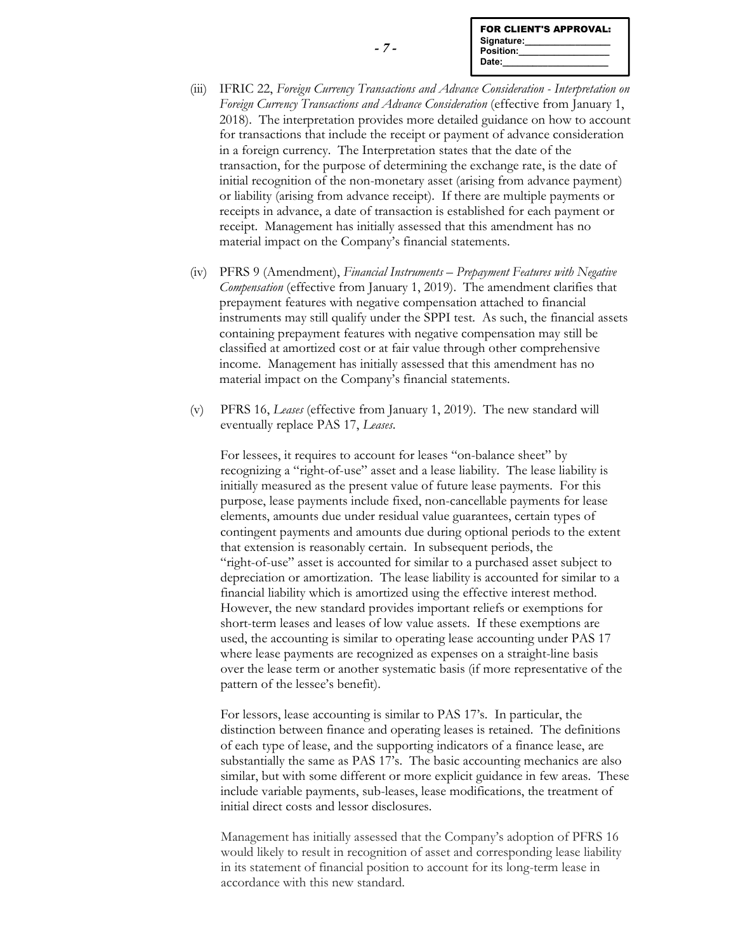- (iii) IFRIC 22, *Foreign Currency Transactions and Advance Consideration Interpretation on Foreign Currency Transactions and Advance Consideration* (effective from January 1, 2018). The interpretation provides more detailed guidance on how to account for transactions that include the receipt or payment of advance consideration in a foreign currency. The Interpretation states that the date of the transaction, for the purpose of determining the exchange rate, is the date of initial recognition of the non-monetary asset (arising from advance payment) or liability (arising from advance receipt). If there are multiple payments or receipts in advance, a date of transaction is established for each payment or receipt. Management has initially assessed that this amendment has no material impact on the Company's financial statements.
- (iv) PFRS 9 (Amendment), *Financial Instruments Prepayment Features with Negative Compensation* (effective from January 1, 2019). The amendment clarifies that prepayment features with negative compensation attached to financial instruments may still qualify under the SPPI test. As such, the financial assets containing prepayment features with negative compensation may still be classified at amortized cost or at fair value through other comprehensive income. Management has initially assessed that this amendment has no material impact on the Company's financial statements.
- (v) PFRS 16, *Leases* (effective from January 1, 2019). The new standard will eventually replace PAS 17, *Leases*.

For lessees, it requires to account for leases "on-balance sheet" by recognizing a "right-of-use" asset and a lease liability. The lease liability is initially measured as the present value of future lease payments. For this purpose, lease payments include fixed, non-cancellable payments for lease elements, amounts due under residual value guarantees, certain types of contingent payments and amounts due during optional periods to the extent that extension is reasonably certain. In subsequent periods, the "right-of-use" asset is accounted for similar to a purchased asset subject to depreciation or amortization. The lease liability is accounted for similar to a financial liability which is amortized using the effective interest method. However, the new standard provides important reliefs or exemptions for short-term leases and leases of low value assets. If these exemptions are used, the accounting is similar to operating lease accounting under PAS 17 where lease payments are recognized as expenses on a straight-line basis over the lease term or another systematic basis (if more representative of the pattern of the lessee's benefit).

 For lessors, lease accounting is similar to PAS 17's. In particular, the distinction between finance and operating leases is retained. The definitions of each type of lease, and the supporting indicators of a finance lease, are substantially the same as PAS 17's. The basic accounting mechanics are also similar, but with some different or more explicit guidance in few areas. These include variable payments, sub-leases, lease modifications, the treatment of initial direct costs and lessor disclosures.

Management has initially assessed that the Company's adoption of PFRS 16 would likely to result in recognition of asset and corresponding lease liability in its statement of financial position to account for its long-term lease in accordance with this new standard.

 **- 7 -**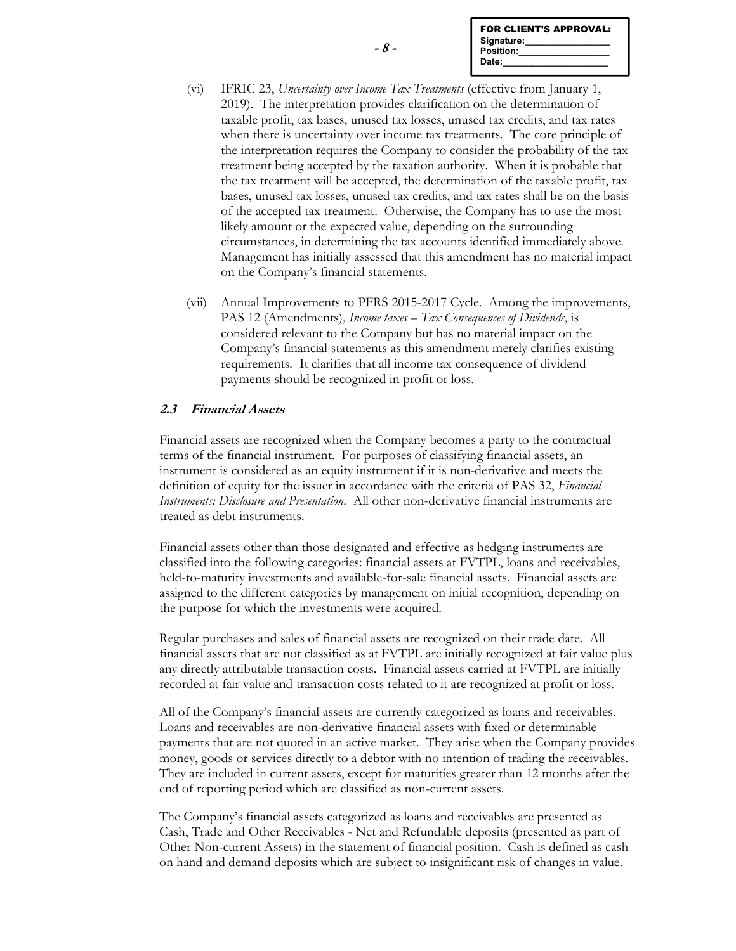- (vi) IFRIC 23, *Uncertainty over Income Tax Treatments* (effective from January 1, 2019). The interpretation provides clarification on the determination of taxable profit, tax bases, unused tax losses, unused tax credits, and tax rates when there is uncertainty over income tax treatments. The core principle of the interpretation requires the Company to consider the probability of the tax treatment being accepted by the taxation authority. When it is probable that the tax treatment will be accepted, the determination of the taxable profit, tax bases, unused tax losses, unused tax credits, and tax rates shall be on the basis of the accepted tax treatment. Otherwise, the Company has to use the most likely amount or the expected value, depending on the surrounding circumstances, in determining the tax accounts identified immediately above. Management has initially assessed that this amendment has no material impact on the Company's financial statements.
- (vii) Annual Improvements to PFRS 2015-2017 Cycle. Among the improvements, PAS 12 (Amendments), *Income taxes – Tax Consequences of Dividends*, is considered relevant to the Company but has no material impact on the Company's financial statements as this amendment merely clarifies existing requirements. It clarifies that all income tax consequence of dividend payments should be recognized in profit or loss.

## **2.3 Financial Assets**

Financial assets are recognized when the Company becomes a party to the contractual terms of the financial instrument. For purposes of classifying financial assets, an instrument is considered as an equity instrument if it is non-derivative and meets the definition of equity for the issuer in accordance with the criteria of PAS 32, *Financial Instruments: Disclosure and Presentation*. All other non-derivative financial instruments are treated as debt instruments.

Financial assets other than those designated and effective as hedging instruments are classified into the following categories: financial assets at FVTPL, loans and receivables, held-to-maturity investments and available-for-sale financial assets. Financial assets are assigned to the different categories by management on initial recognition, depending on the purpose for which the investments were acquired.

Regular purchases and sales of financial assets are recognized on their trade date. All financial assets that are not classified as at FVTPL are initially recognized at fair value plus any directly attributable transaction costs. Financial assets carried at FVTPL are initially recorded at fair value and transaction costs related to it are recognized at profit or loss.

All of the Company's financial assets are currently categorized as loans and receivables. Loans and receivables are non-derivative financial assets with fixed or determinable payments that are not quoted in an active market. They arise when the Company provides money, goods or services directly to a debtor with no intention of trading the receivables. They are included in current assets, except for maturities greater than 12 months after the end of reporting period which are classified as non-current assets.

The Company's financial assets categorized as loans and receivables are presented as Cash, Trade and Other Receivables - Net and Refundable deposits (presented as part of Other Non-current Assets) in the statement of financial position. Cash is defined as cash on hand and demand deposits which are subject to insignificant risk of changes in value.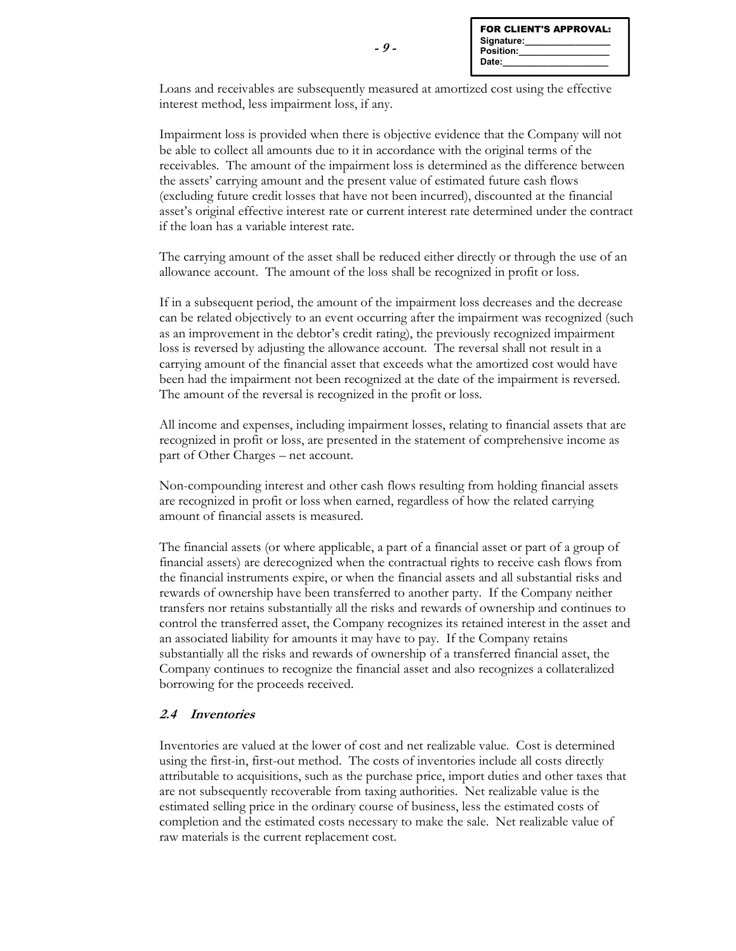Loans and receivables are subsequently measured at amortized cost using the effective interest method, less impairment loss, if any.

Impairment loss is provided when there is objective evidence that the Company will not be able to collect all amounts due to it in accordance with the original terms of the receivables. The amount of the impairment loss is determined as the difference between the assets' carrying amount and the present value of estimated future cash flows (excluding future credit losses that have not been incurred), discounted at the financial asset's original effective interest rate or current interest rate determined under the contract if the loan has a variable interest rate.

The carrying amount of the asset shall be reduced either directly or through the use of an allowance account. The amount of the loss shall be recognized in profit or loss.

If in a subsequent period, the amount of the impairment loss decreases and the decrease can be related objectively to an event occurring after the impairment was recognized (such as an improvement in the debtor's credit rating), the previously recognized impairment loss is reversed by adjusting the allowance account. The reversal shall not result in a carrying amount of the financial asset that exceeds what the amortized cost would have been had the impairment not been recognized at the date of the impairment is reversed. The amount of the reversal is recognized in the profit or loss.

All income and expenses, including impairment losses, relating to financial assets that are recognized in profit or loss, are presented in the statement of comprehensive income as part of Other Charges – net account.

Non-compounding interest and other cash flows resulting from holding financial assets are recognized in profit or loss when earned, regardless of how the related carrying amount of financial assets is measured.

The financial assets (or where applicable, a part of a financial asset or part of a group of financial assets) are derecognized when the contractual rights to receive cash flows from the financial instruments expire, or when the financial assets and all substantial risks and rewards of ownership have been transferred to another party. If the Company neither transfers nor retains substantially all the risks and rewards of ownership and continues to control the transferred asset, the Company recognizes its retained interest in the asset and an associated liability for amounts it may have to pay. If the Company retains substantially all the risks and rewards of ownership of a transferred financial asset, the Company continues to recognize the financial asset and also recognizes a collateralized borrowing for the proceeds received.

#### **2.4 Inventories**

Inventories are valued at the lower of cost and net realizable value. Cost is determined using the first-in, first-out method. The costs of inventories include all costs directly attributable to acquisitions, such as the purchase price, import duties and other taxes that are not subsequently recoverable from taxing authorities. Net realizable value is the estimated selling price in the ordinary course of business, less the estimated costs of completion and the estimated costs necessary to make the sale. Net realizable value of raw materials is the current replacement cost.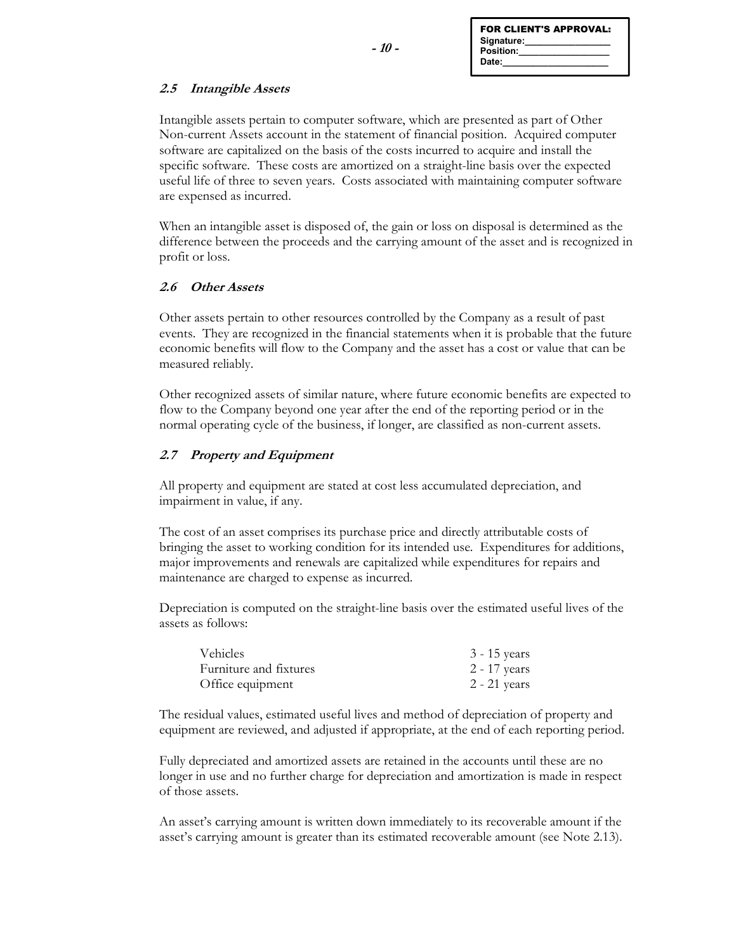# **2.5 Intangible Assets**

Intangible assets pertain to computer software, which are presented as part of Other Non-current Assets account in the statement of financial position. Acquired computer software are capitalized on the basis of the costs incurred to acquire and install the specific software. These costs are amortized on a straight-line basis over the expected useful life of three to seven years. Costs associated with maintaining computer software are expensed as incurred.

When an intangible asset is disposed of, the gain or loss on disposal is determined as the difference between the proceeds and the carrying amount of the asset and is recognized in profit or loss.

## **2.6 Other Assets**

Other assets pertain to other resources controlled by the Company as a result of past events. They are recognized in the financial statements when it is probable that the future economic benefits will flow to the Company and the asset has a cost or value that can be measured reliably.

Other recognized assets of similar nature, where future economic benefits are expected to flow to the Company beyond one year after the end of the reporting period or in the normal operating cycle of the business, if longer, are classified as non-current assets.

# **2.7 Property and Equipment**

All property and equipment are stated at cost less accumulated depreciation, and impairment in value, if any.

The cost of an asset comprises its purchase price and directly attributable costs of bringing the asset to working condition for its intended use. Expenditures for additions, major improvements and renewals are capitalized while expenditures for repairs and maintenance are charged to expense as incurred.

Depreciation is computed on the straight-line basis over the estimated useful lives of the assets as follows:

| <i>Vehicles</i>        | $3 - 15$ years |
|------------------------|----------------|
| Furniture and fixtures | 2 - 17 years   |
| Office equipment       | $2 - 21$ years |

The residual values, estimated useful lives and method of depreciation of property and equipment are reviewed, and adjusted if appropriate, at the end of each reporting period.

Fully depreciated and amortized assets are retained in the accounts until these are no longer in use and no further charge for depreciation and amortization is made in respect of those assets.

An asset's carrying amount is written down immediately to its recoverable amount if the asset's carrying amount is greater than its estimated recoverable amount (see Note 2.13).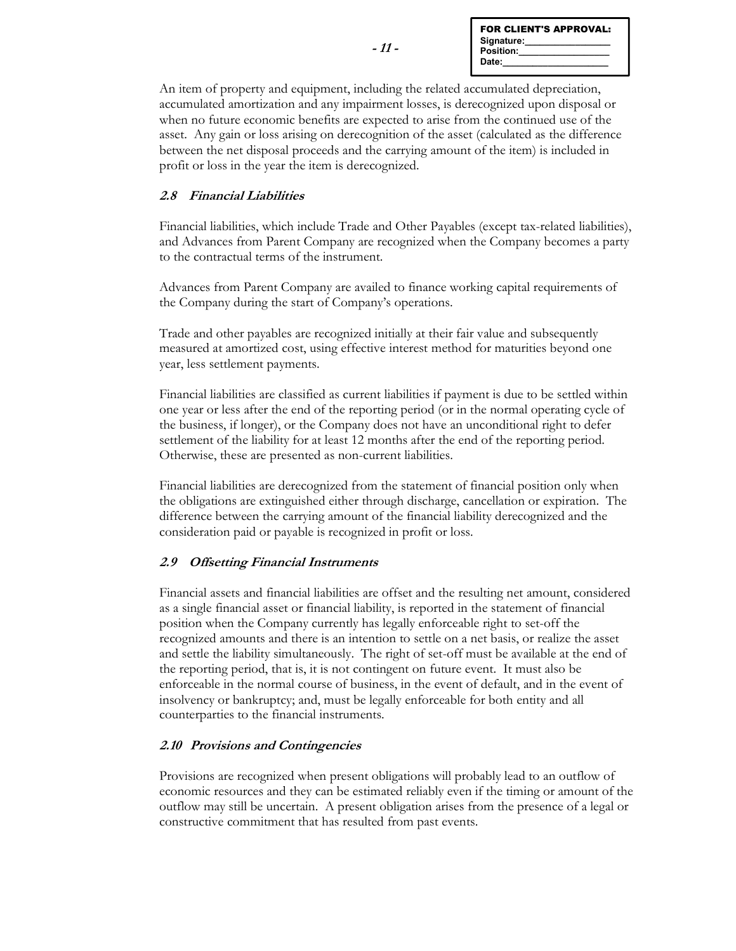An item of property and equipment, including the related accumulated depreciation, accumulated amortization and any impairment losses, is derecognized upon disposal or when no future economic benefits are expected to arise from the continued use of the asset. Any gain or loss arising on derecognition of the asset (calculated as the difference between the net disposal proceeds and the carrying amount of the item) is included in profit or loss in the year the item is derecognized.

# **2.8 Financial Liabilities**

Financial liabilities, which include Trade and Other Payables (except tax-related liabilities), and Advances from Parent Company are recognized when the Company becomes a party to the contractual terms of the instrument.

Advances from Parent Company are availed to finance working capital requirements of the Company during the start of Company's operations.

Trade and other payables are recognized initially at their fair value and subsequently measured at amortized cost, using effective interest method for maturities beyond one year, less settlement payments.

Financial liabilities are classified as current liabilities if payment is due to be settled within one year or less after the end of the reporting period (or in the normal operating cycle of the business, if longer), or the Company does not have an unconditional right to defer settlement of the liability for at least 12 months after the end of the reporting period. Otherwise, these are presented as non-current liabilities.

Financial liabilities are derecognized from the statement of financial position only when the obligations are extinguished either through discharge, cancellation or expiration. The difference between the carrying amount of the financial liability derecognized and the consideration paid or payable is recognized in profit or loss.

## **2.9 Offsetting Financial Instruments**

Financial assets and financial liabilities are offset and the resulting net amount, considered as a single financial asset or financial liability, is reported in the statement of financial position when the Company currently has legally enforceable right to set-off the recognized amounts and there is an intention to settle on a net basis, or realize the asset and settle the liability simultaneously. The right of set-off must be available at the end of the reporting period, that is, it is not contingent on future event. It must also be enforceable in the normal course of business, in the event of default, and in the event of insolvency or bankruptcy; and, must be legally enforceable for both entity and all counterparties to the financial instruments.

#### **2.10 Provisions and Contingencies**

Provisions are recognized when present obligations will probably lead to an outflow of economic resources and they can be estimated reliably even if the timing or amount of the outflow may still be uncertain. A present obligation arises from the presence of a legal or constructive commitment that has resulted from past events.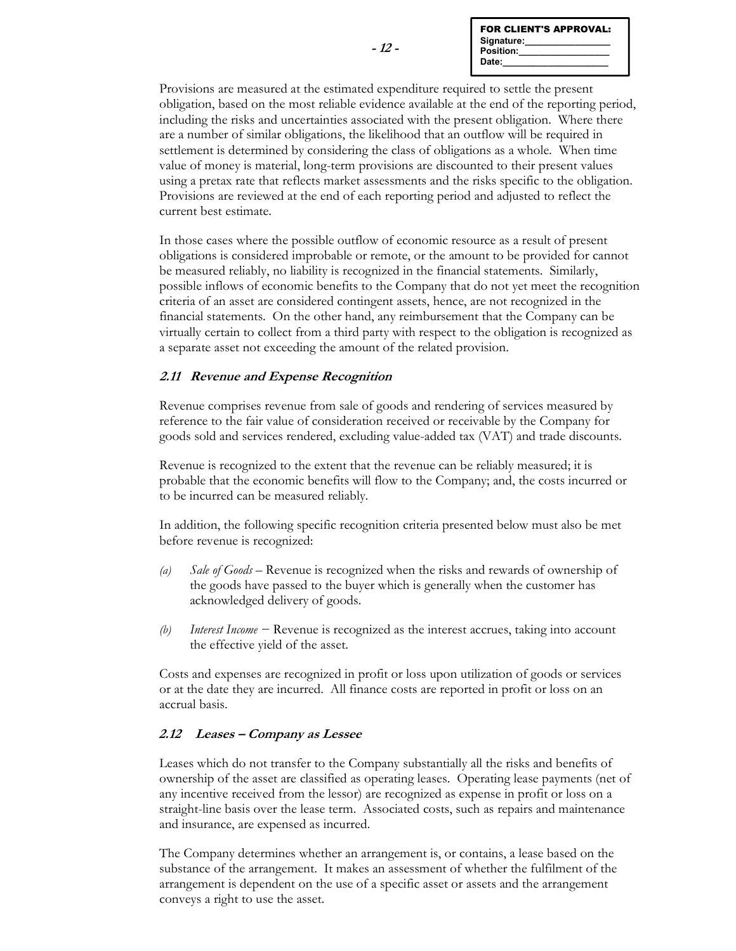Provisions are measured at the estimated expenditure required to settle the present obligation, based on the most reliable evidence available at the end of the reporting period, including the risks and uncertainties associated with the present obligation. Where there are a number of similar obligations, the likelihood that an outflow will be required in settlement is determined by considering the class of obligations as a whole. When time value of money is material, long-term provisions are discounted to their present values using a pretax rate that reflects market assessments and the risks specific to the obligation. Provisions are reviewed at the end of each reporting period and adjusted to reflect the current best estimate.

In those cases where the possible outflow of economic resource as a result of present obligations is considered improbable or remote, or the amount to be provided for cannot be measured reliably, no liability is recognized in the financial statements. Similarly, possible inflows of economic benefits to the Company that do not yet meet the recognition criteria of an asset are considered contingent assets, hence, are not recognized in the financial statements. On the other hand, any reimbursement that the Company can be virtually certain to collect from a third party with respect to the obligation is recognized as a separate asset not exceeding the amount of the related provision.

## **2.11 Revenue and Expense Recognition**

Revenue comprises revenue from sale of goods and rendering of services measured by reference to the fair value of consideration received or receivable by the Company for goods sold and services rendered, excluding value-added tax (VAT) and trade discounts.

Revenue is recognized to the extent that the revenue can be reliably measured; it is probable that the economic benefits will flow to the Company; and, the costs incurred or to be incurred can be measured reliably.

In addition, the following specific recognition criteria presented below must also be met before revenue is recognized:

- *(a) Sale of Goods* Revenue is recognized when the risks and rewards of ownership of the goods have passed to the buyer which is generally when the customer has acknowledged delivery of goods.
- *(b) Interest Income −* Revenue is recognized as the interest accrues, taking into account the effective yield of the asset.

Costs and expenses are recognized in profit or loss upon utilization of goods or services or at the date they are incurred. All finance costs are reported in profit or loss on an accrual basis.

## **2.12 Leases – Company as Lessee**

Leases which do not transfer to the Company substantially all the risks and benefits of ownership of the asset are classified as operating leases. Operating lease payments (net of any incentive received from the lessor) are recognized as expense in profit or loss on a straight-line basis over the lease term. Associated costs, such as repairs and maintenance and insurance, are expensed as incurred.

The Company determines whether an arrangement is, or contains, a lease based on the substance of the arrangement. It makes an assessment of whether the fulfilment of the arrangement is dependent on the use of a specific asset or assets and the arrangement conveys a right to use the asset.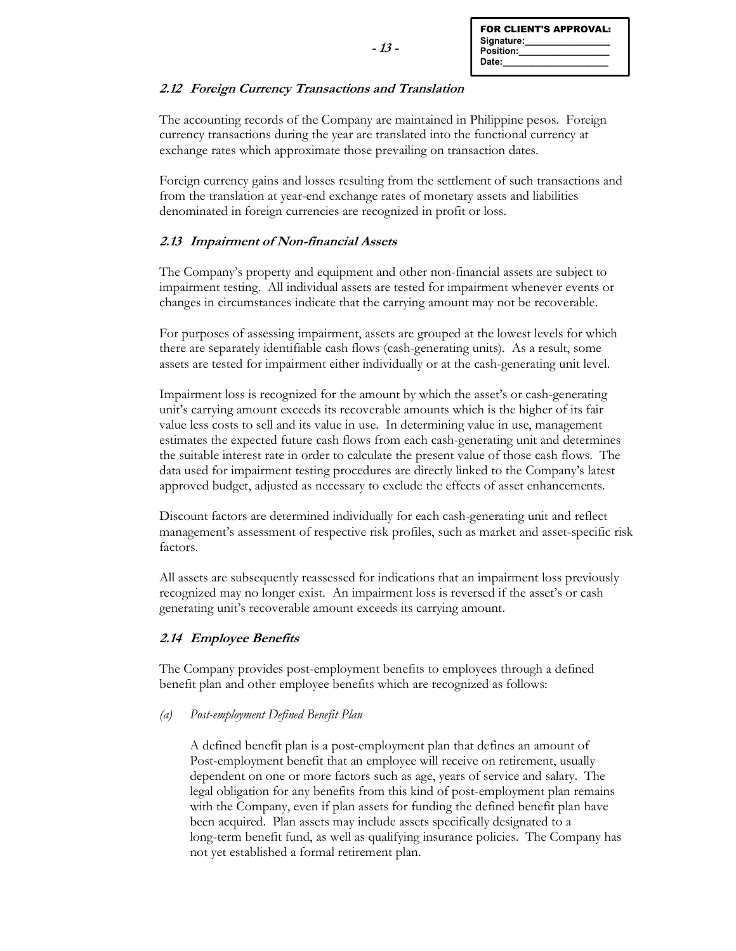# **2.12 Foreign Currency Transactions and Translation**

The accounting records of the Company are maintained in Philippine pesos. Foreign currency transactions during the year are translated into the functional currency at exchange rates which approximate those prevailing on transaction dates.

Foreign currency gains and losses resulting from the settlement of such transactions and from the translation at year-end exchange rates of monetary assets and liabilities denominated in foreign currencies are recognized in profit or loss.

# **2.13 Impairment of Non-financial Assets**

The Company's property and equipment and other non-financial assets are subject to impairment testing. All individual assets are tested for impairment whenever events or changes in circumstances indicate that the carrying amount may not be recoverable.

For purposes of assessing impairment, assets are grouped at the lowest levels for which there are separately identifiable cash flows (cash-generating units). As a result, some assets are tested for impairment either individually or at the cash-generating unit level.

Impairment loss is recognized for the amount by which the asset's or cash-generating unit's carrying amount exceeds its recoverable amounts which is the higher of its fair value less costs to sell and its value in use. In determining value in use, management estimates the expected future cash flows from each cash-generating unit and determines the suitable interest rate in order to calculate the present value of those cash flows. The data used for impairment testing procedures are directly linked to the Company's latest approved budget, adjusted as necessary to exclude the effects of asset enhancements.

Discount factors are determined individually for each cash-generating unit and reflect management's assessment of respective risk profiles, such as market and asset-specific risk factors.

All assets are subsequently reassessed for indications that an impairment loss previously recognized may no longer exist. An impairment loss is reversed if the asset's or cash generating unit's recoverable amount exceeds its carrying amount.

# **2.14 Employee Benefits**

The Company provides post-employment benefits to employees through a defined benefit plan and other employee benefits which are recognized as follows:

## *(a) Post-employment Defined Benefit Plan*

A defined benefit plan is a post-employment plan that defines an amount of Post-employment benefit that an employee will receive on retirement, usually dependent on one or more factors such as age, years of service and salary. The legal obligation for any benefits from this kind of post-employment plan remains with the Company, even if plan assets for funding the defined benefit plan have been acquired. Plan assets may include assets specifically designated to a long-term benefit fund, as well as qualifying insurance policies. The Company has not yet established a formal retirement plan.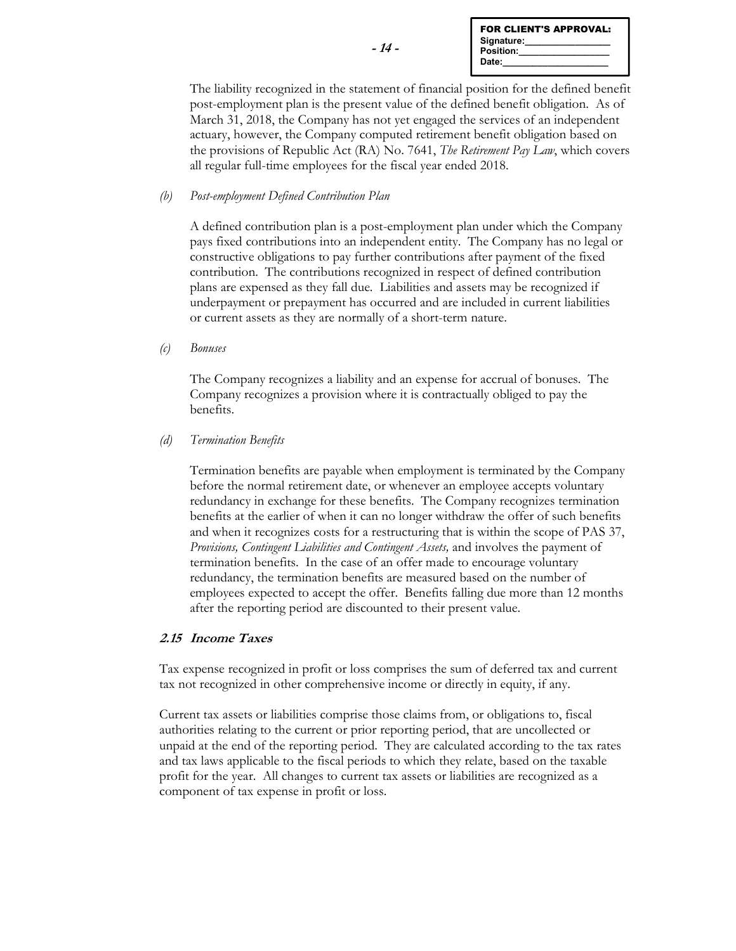The liability recognized in the statement of financial position for the defined benefit post-employment plan is the present value of the defined benefit obligation. As of March 31, 2018, the Company has not yet engaged the services of an independent actuary, however, the Company computed retirement benefit obligation based on the provisions of Republic Act (RA) No. 7641, *The Retirement Pay Law*, which covers all regular full-time employees for the fiscal year ended 2018.

*(b) Post-employment Defined Contribution Plan* 

A defined contribution plan is a post-employment plan under which the Company pays fixed contributions into an independent entity. The Company has no legal or constructive obligations to pay further contributions after payment of the fixed contribution. The contributions recognized in respect of defined contribution plans are expensed as they fall due. Liabilities and assets may be recognized if underpayment or prepayment has occurred and are included in current liabilities or current assets as they are normally of a short-term nature.

*(c) Bonuses*

The Company recognizes a liability and an expense for accrual of bonuses. The Company recognizes a provision where it is contractually obliged to pay the benefits.

## *(d) Termination Benefits*

Termination benefits are payable when employment is terminated by the Company before the normal retirement date, or whenever an employee accepts voluntary redundancy in exchange for these benefits. The Company recognizes termination benefits at the earlier of when it can no longer withdraw the offer of such benefits and when it recognizes costs for a restructuring that is within the scope of PAS 37, *Provisions, Contingent Liabilities and Contingent Assets,* and involves the payment of termination benefits. In the case of an offer made to encourage voluntary redundancy, the termination benefits are measured based on the number of employees expected to accept the offer. Benefits falling due more than 12 months after the reporting period are discounted to their present value.

#### **2.15 Income Taxes**

Tax expense recognized in profit or loss comprises the sum of deferred tax and current tax not recognized in other comprehensive income or directly in equity, if any.

Current tax assets or liabilities comprise those claims from, or obligations to, fiscal authorities relating to the current or prior reporting period, that are uncollected or unpaid at the end of the reporting period. They are calculated according to the tax rates and tax laws applicable to the fiscal periods to which they relate, based on the taxable profit for the year. All changes to current tax assets or liabilities are recognized as a component of tax expense in profit or loss.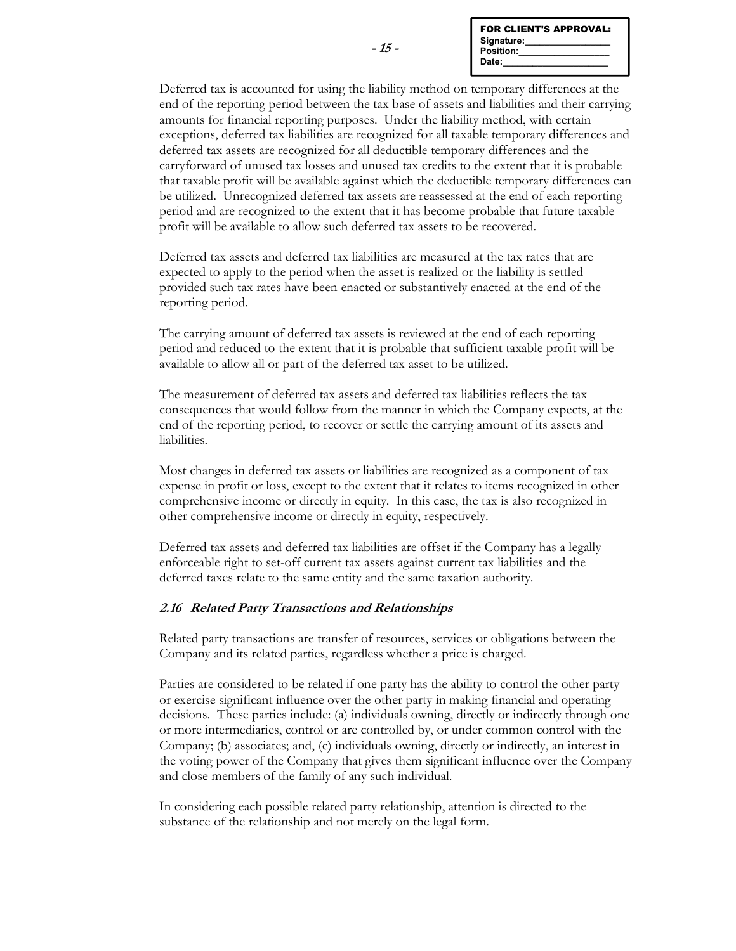Deferred tax is accounted for using the liability method on temporary differences at the end of the reporting period between the tax base of assets and liabilities and their carrying amounts for financial reporting purposes. Under the liability method, with certain exceptions, deferred tax liabilities are recognized for all taxable temporary differences and deferred tax assets are recognized for all deductible temporary differences and the carryforward of unused tax losses and unused tax credits to the extent that it is probable that taxable profit will be available against which the deductible temporary differences can be utilized. Unrecognized deferred tax assets are reassessed at the end of each reporting period and are recognized to the extent that it has become probable that future taxable profit will be available to allow such deferred tax assets to be recovered.

Deferred tax assets and deferred tax liabilities are measured at the tax rates that are expected to apply to the period when the asset is realized or the liability is settled provided such tax rates have been enacted or substantively enacted at the end of the reporting period.

The carrying amount of deferred tax assets is reviewed at the end of each reporting period and reduced to the extent that it is probable that sufficient taxable profit will be available to allow all or part of the deferred tax asset to be utilized.

The measurement of deferred tax assets and deferred tax liabilities reflects the tax consequences that would follow from the manner in which the Company expects, at the end of the reporting period, to recover or settle the carrying amount of its assets and liabilities.

Most changes in deferred tax assets or liabilities are recognized as a component of tax expense in profit or loss, except to the extent that it relates to items recognized in other comprehensive income or directly in equity. In this case, the tax is also recognized in other comprehensive income or directly in equity, respectively.

Deferred tax assets and deferred tax liabilities are offset if the Company has a legally enforceable right to set-off current tax assets against current tax liabilities and the deferred taxes relate to the same entity and the same taxation authority.

# **2.16 Related Party Transactions and Relationships**

Related party transactions are transfer of resources, services or obligations between the Company and its related parties, regardless whether a price is charged.

Parties are considered to be related if one party has the ability to control the other party or exercise significant influence over the other party in making financial and operating decisions. These parties include: (a) individuals owning, directly or indirectly through one or more intermediaries, control or are controlled by, or under common control with the Company; (b) associates; and, (c) individuals owning, directly or indirectly, an interest in the voting power of the Company that gives them significant influence over the Company and close members of the family of any such individual.

In considering each possible related party relationship, attention is directed to the substance of the relationship and not merely on the legal form.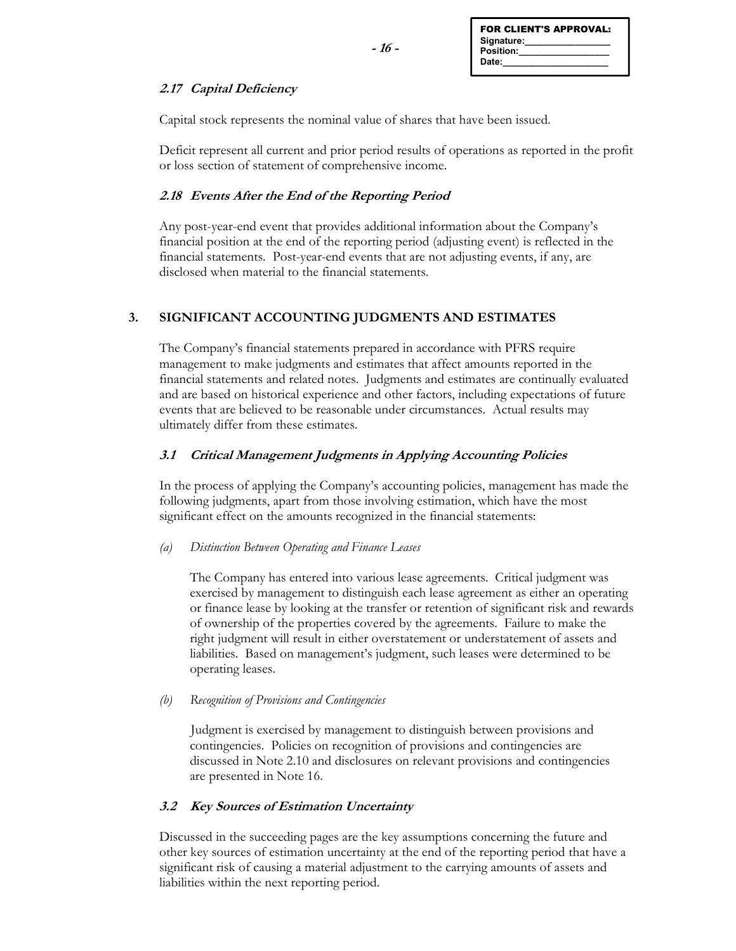# **2.17 Capital Deficiency**

Capital stock represents the nominal value of shares that have been issued.

Deficit represent all current and prior period results of operations as reported in the profit or loss section of statement of comprehensive income.

## **2.18 Events After the End of the Reporting Period**

Any post-year-end event that provides additional information about the Company's financial position at the end of the reporting period (adjusting event) is reflected in the financial statements. Post-year-end events that are not adjusting events, if any, are disclosed when material to the financial statements.

## **3. SIGNIFICANT ACCOUNTING JUDGMENTS AND ESTIMATES**

The Company's financial statements prepared in accordance with PFRS require management to make judgments and estimates that affect amounts reported in the financial statements and related notes. Judgments and estimates are continually evaluated and are based on historical experience and other factors, including expectations of future events that are believed to be reasonable under circumstances. Actual results may ultimately differ from these estimates.

## **3.1 Critical Management Judgments in Applying Accounting Policies**

In the process of applying the Company's accounting policies, management has made the following judgments, apart from those involving estimation, which have the most significant effect on the amounts recognized in the financial statements:

#### *(a) Distinction Between Operating and Finance Leases*

The Company has entered into various lease agreements. Critical judgment was exercised by management to distinguish each lease agreement as either an operating or finance lease by looking at the transfer or retention of significant risk and rewards of ownership of the properties covered by the agreements. Failure to make the right judgment will result in either overstatement or understatement of assets and liabilities. Based on management's judgment, such leases were determined to be operating leases.

## *(b) Recognition of Provisions and Contingencies*

Judgment is exercised by management to distinguish between provisions and contingencies. Policies on recognition of provisions and contingencies are discussed in Note 2.10 and disclosures on relevant provisions and contingencies are presented in Note 16.

## **3.2 Key Sources of Estimation Uncertainty**

Discussed in the succeeding pages are the key assumptions concerning the future and other key sources of estimation uncertainty at the end of the reporting period that have a significant risk of causing a material adjustment to the carrying amounts of assets and liabilities within the next reporting period.

 **- 16 -**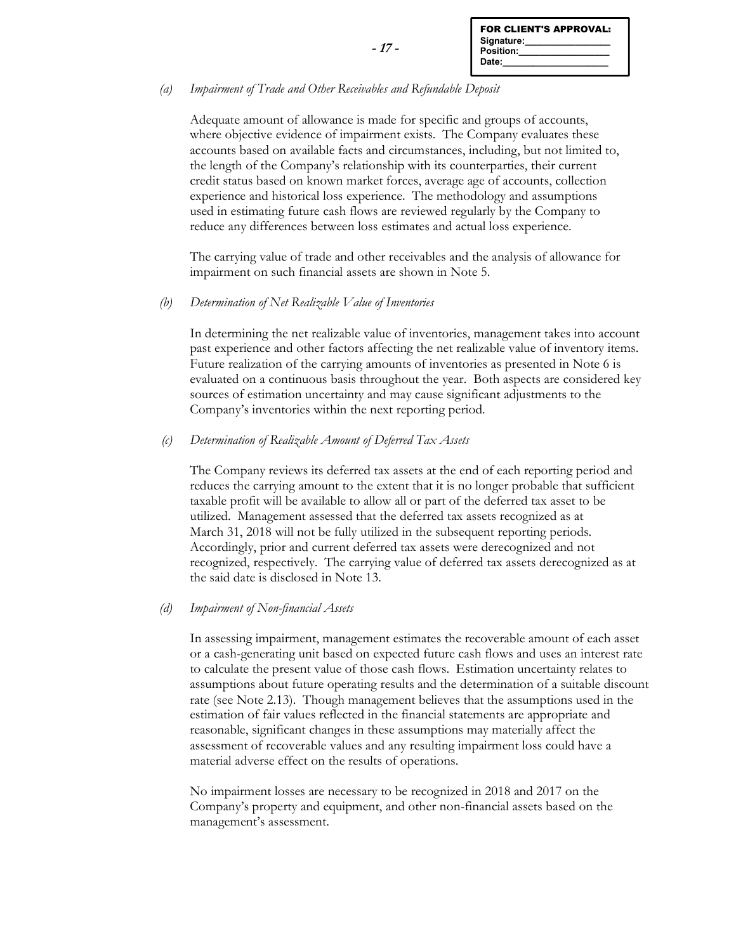## *(a) Impairment of Trade and Other Receivables and Refundable Deposit*

Adequate amount of allowance is made for specific and groups of accounts, where objective evidence of impairment exists. The Company evaluates these accounts based on available facts and circumstances, including, but not limited to, the length of the Company's relationship with its counterparties, their current credit status based on known market forces, average age of accounts, collection experience and historical loss experience. The methodology and assumptions used in estimating future cash flows are reviewed regularly by the Company to reduce any differences between loss estimates and actual loss experience.

The carrying value of trade and other receivables and the analysis of allowance for impairment on such financial assets are shown in Note 5.

## *(b) Determination of Net Realizable Value of Inventories*

In determining the net realizable value of inventories, management takes into account past experience and other factors affecting the net realizable value of inventory items. Future realization of the carrying amounts of inventories as presented in Note 6 is evaluated on a continuous basis throughout the year. Both aspects are considered key sources of estimation uncertainty and may cause significant adjustments to the Company's inventories within the next reporting period.

## *(c) Determination of Realizable Amount of Deferred Tax Assets*

The Company reviews its deferred tax assets at the end of each reporting period and reduces the carrying amount to the extent that it is no longer probable that sufficient taxable profit will be available to allow all or part of the deferred tax asset to be utilized. Management assessed that the deferred tax assets recognized as at March 31, 2018 will not be fully utilized in the subsequent reporting periods. Accordingly, prior and current deferred tax assets were derecognized and not recognized, respectively. The carrying value of deferred tax assets derecognized as at the said date is disclosed in Note 13.

## *(d) Impairment of Non-financial Assets*

In assessing impairment, management estimates the recoverable amount of each asset or a cash-generating unit based on expected future cash flows and uses an interest rate to calculate the present value of those cash flows. Estimation uncertainty relates to assumptions about future operating results and the determination of a suitable discount rate (see Note 2.13). Though management believes that the assumptions used in the estimation of fair values reflected in the financial statements are appropriate and reasonable, significant changes in these assumptions may materially affect the assessment of recoverable values and any resulting impairment loss could have a material adverse effect on the results of operations.

No impairment losses are necessary to be recognized in 2018 and 2017 on the Company's property and equipment, and other non-financial assets based on the management's assessment.

 **- 17 -**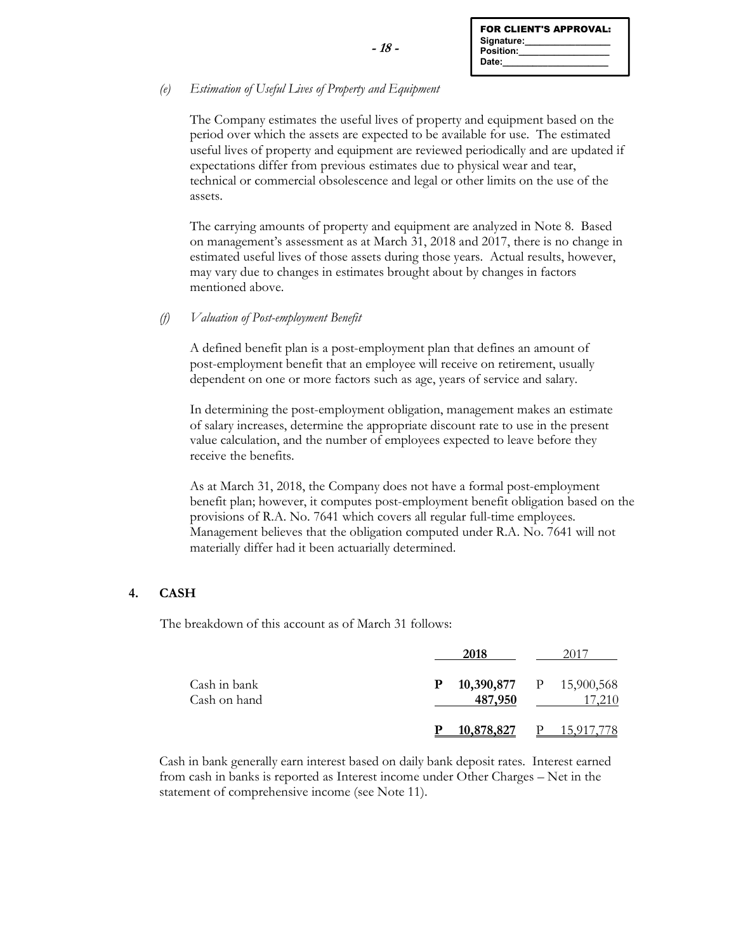## *(e) Estimation of Useful Lives of Property and Equipment*

The Company estimates the useful lives of property and equipment based on the period over which the assets are expected to be available for use. The estimated useful lives of property and equipment are reviewed periodically and are updated if expectations differ from previous estimates due to physical wear and tear, technical or commercial obsolescence and legal or other limits on the use of the assets.

The carrying amounts of property and equipment are analyzed in Note 8. Based on management's assessment as at March 31, 2018 and 2017, there is no change in estimated useful lives of those assets during those years. Actual results, however, may vary due to changes in estimates brought about by changes in factors mentioned above.

## *(f) Valuation of Post-employment Benefit*

A defined benefit plan is a post-employment plan that defines an amount of post-employment benefit that an employee will receive on retirement, usually dependent on one or more factors such as age, years of service and salary.

In determining the post-employment obligation, management makes an estimate of salary increases, determine the appropriate discount rate to use in the present value calculation, and the number of employees expected to leave before they receive the benefits.

As at March 31, 2018, the Company does not have a formal post-employment benefit plan; however, it computes post-employment benefit obligation based on the provisions of R.A. No. 7641 which covers all regular full-time employees. Management believes that the obligation computed under R.A. No. 7641 will not materially differ had it been actuarially determined.

## **4. CASH**

The breakdown of this account as of March 31 follows:

|                              | 2018         | 2017                              |
|------------------------------|--------------|-----------------------------------|
| Cash in bank<br>Cash on hand | P<br>487,950 | 10,390,877 P 15,900,568<br>17,210 |
|                              | 10,878,827   | 15.917                            |

Cash in bank generally earn interest based on daily bank deposit rates. Interest earned from cash in banks is reported as Interest income under Other Charges – Net in the statement of comprehensive income (see Note 11).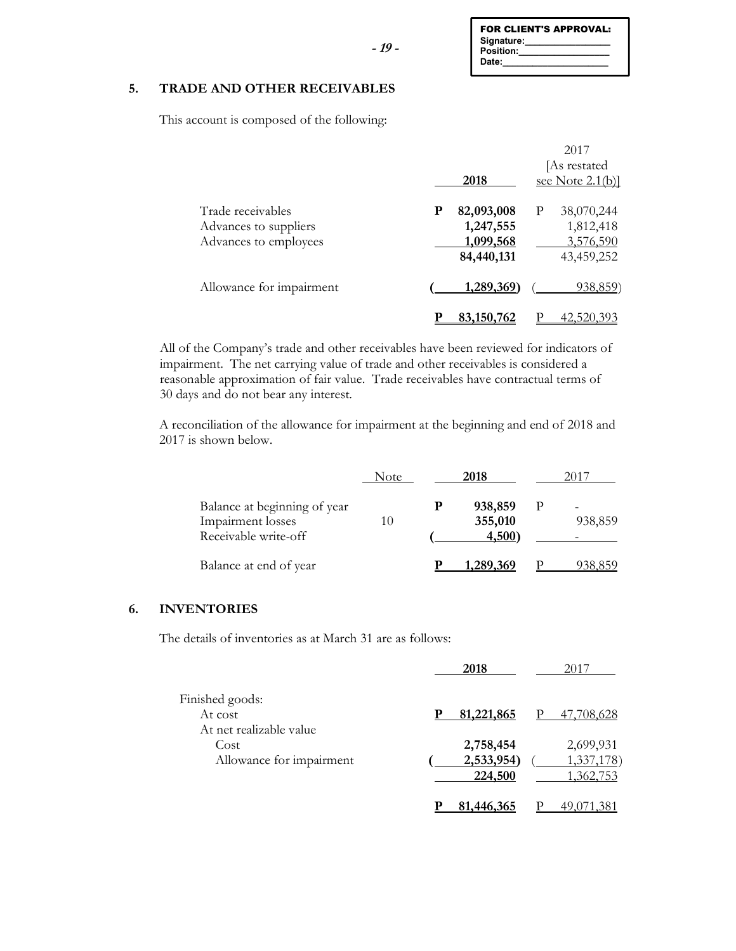| <b>FOR CLIENT'S APPROVAL:</b> |
|-------------------------------|
| Signature:                    |
| <b>Position:</b>              |
| Date:                         |
|                               |

# **5. TRADE AND OTHER RECEIVABLES**

This account is composed of the following:

|                                                                     | 2018                                                    | 2017<br>As restated<br>see Note $2.1(b)$                |  |  |  |
|---------------------------------------------------------------------|---------------------------------------------------------|---------------------------------------------------------|--|--|--|
| Trade receivables<br>Advances to suppliers<br>Advances to employees | 82,093,008<br>P<br>1,247,555<br>1,099,568<br>84,440,131 | P<br>38,070,244<br>1,812,418<br>3,576,590<br>43,459,252 |  |  |  |
| Allowance for impairment                                            | <u>1,289,369)</u>                                       | 938,859)                                                |  |  |  |
|                                                                     | 83,150,762                                              |                                                         |  |  |  |

All of the Company's trade and other receivables have been reviewed for indicators of impairment. The net carrying value of trade and other receivables is considered a reasonable approximation of fair value. Trade receivables have contractual terms of 30 days and do not bear any interest.

A reconciliation of the allowance for impairment at the beginning and end of 2018 and 2017 is shown below.

|                                                                           | Note | 2018                         |         |
|---------------------------------------------------------------------------|------|------------------------------|---------|
| Balance at beginning of year<br>Impairment losses<br>Receivable write-off |      | 938,859<br>355,010<br>4,500) | 938,859 |
| Balance at end of year                                                    |      | .289.369                     |         |

# **6. INVENTORIES**

The details of inventories as at March 31 are as follows:

|                                                       | 2018<br>2017                                                               |
|-------------------------------------------------------|----------------------------------------------------------------------------|
| Finished goods:<br>At cost<br>At net realizable value | 81,221,865<br>р<br>47,708,628                                              |
| Cost<br>Allowance for impairment                      | 2,758,454<br>2,699,931<br>2,533,954)<br>1,337,178)<br>224,500<br>1,362,753 |
|                                                       | 81,446,365                                                                 |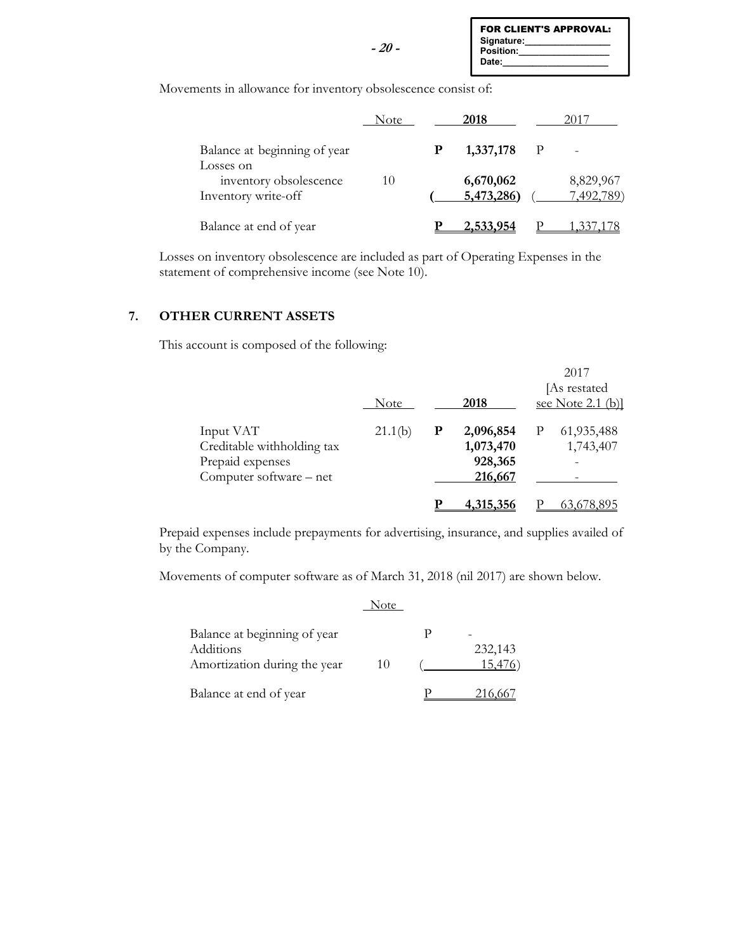Movements in allowance for inventory obsolescence consist of:

|                                                            | Note |   | 2018                    |              | 2017                    |
|------------------------------------------------------------|------|---|-------------------------|--------------|-------------------------|
| Balance at beginning of year                               |      | Р | 1,337,178               | $\mathbf{P}$ |                         |
| Losses on<br>inventory obsolescence<br>Inventory write-off | 10   |   | 6,670,062<br>5,473,286) |              | 8,829,967<br>7,492,789) |
| Balance at end of year                                     |      |   | 2,533,954               |              |                         |

Losses on inventory obsolescence are included as part of Operating Expenses in the statement of comprehensive income (see Note 10).

## **7. OTHER CURRENT ASSETS**

This account is composed of the following:

|                                                                                        | Note    |   | 2018                                         | 2017<br>[As restated]<br>see Note $2.1$ (b)] |
|----------------------------------------------------------------------------------------|---------|---|----------------------------------------------|----------------------------------------------|
| Input VAT<br>Creditable withholding tax<br>Prepaid expenses<br>Computer software – net | 21.1(b) | P | 2,096,854<br>1,073,470<br>928,365<br>216,667 | 61,935,488<br>1,743,407                      |
|                                                                                        |         | D | <u>4,315,356</u>                             |                                              |

Prepaid expenses include prepayments for advertising, insurance, and supplies availed of by the Company.

Movements of computer software as of March 31, 2018 (nil 2017) are shown below.

|                              | Jote |                 |
|------------------------------|------|-----------------|
| Balance at beginning of year |      |                 |
| Additions                    |      | 232,143         |
| Amortization during the year | 10   | <u>15,476</u> ) |
| Balance at end of year       |      |                 |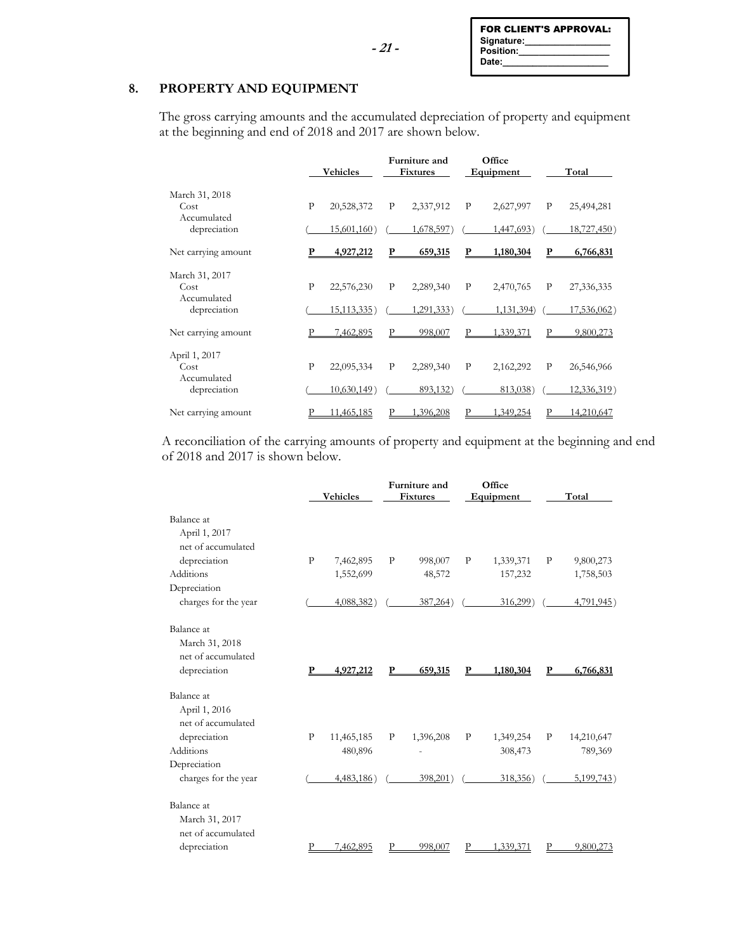# **8. PROPERTY AND EQUIPMENT**

The gross carrying amounts and the accumulated depreciation of property and equipment at the beginning and end of 2018 and 2017 are shown below.

|                             |              | <b>Vehicles</b> |              | Furniture and<br><b>Fixtures</b> |   | Office<br>Equipment |              | Total       |
|-----------------------------|--------------|-----------------|--------------|----------------------------------|---|---------------------|--------------|-------------|
| March 31, 2018              |              |                 |              |                                  |   |                     |              |             |
| Cost                        | $\mathbf{P}$ | 20,528,372      | $\mathbf P$  | 2,337,912                        | P | 2,627,997           | $\mathbf{P}$ | 25,494,281  |
| Accumulated<br>depreciation |              | $15,601,160$ )  |              | 1,678,597)                       |   | 1,447,693)          |              | 18,727,450) |
| Net carrying amount         |              | 4,927,212       |              | 659,315                          | P | 1,180,304           | P            | 6,766,831   |
| March 31, 2017              |              |                 |              |                                  |   |                     |              |             |
| Cost                        | $\mathbf{P}$ | 22,576,230      | P            | 2,289,340                        | P | 2,470,765           | P            | 27,336,335  |
| Accumulated<br>depreciation |              | 15,113,335)     |              | 1,291,333                        |   | 1,131,394)          |              | 17,536,062) |
| Net carrying amount         |              | 7,462,895       |              | 998,007                          | P | 1,339,371           | P            | 9,800,273   |
| April 1, 2017               |              |                 |              |                                  |   |                     |              |             |
| Cost                        | P            | 22,095,334      | $\mathbf{P}$ | 2,289,340                        | P | 2,162,292           | P            | 26,546,966  |
| Accumulated<br>depreciation |              | $10,630,149$ )  |              | 893,132)                         |   | 813,038)            |              | 12,336,319) |
| Net carrying amount         |              | 11,465,185      |              | 1,396,208                        |   | 1,349,254           |              | 14,210,647  |

A reconciliation of the carrying amounts of property and equipment at the beginning and end of 2018 and 2017 is shown below.

|                                  |                      |              | <b>Vehicles</b> |              | Furniture and<br><b>Fixtures</b> |              | Office<br>Equipment |              | Total      |
|----------------------------------|----------------------|--------------|-----------------|--------------|----------------------------------|--------------|---------------------|--------------|------------|
| Balance at                       |                      |              |                 |              |                                  |              |                     |              |            |
| April 1, 2017                    | net of accumulated   |              |                 |              |                                  |              |                     |              |            |
|                                  |                      | $\mathbf{P}$ | 7,462,895       | $\mathbf{P}$ | 998,007                          | P            | 1,339,371           | $\mathbf{P}$ |            |
| depreciation<br><b>Additions</b> |                      |              |                 |              |                                  |              |                     |              | 9,800,273  |
|                                  |                      |              | 1,552,699       |              | 48,572                           |              | 157,232             |              | 1,758,503  |
| Depreciation                     |                      |              |                 |              |                                  |              |                     |              |            |
|                                  | charges for the year |              | 4,088,382)      |              | 387,264)                         |              | 316,299)            |              | 4,791,945) |
| Balance at                       |                      |              |                 |              |                                  |              |                     |              |            |
| March 31, 2018                   |                      |              |                 |              |                                  |              |                     |              |            |
|                                  | net of accumulated   |              |                 |              |                                  |              |                     |              |            |
| depreciation                     |                      | P            | 4,927,212       | P            | 659,315                          | P            | 1,180,304           | P            | 6,766,831  |
| Balance at                       |                      |              |                 |              |                                  |              |                     |              |            |
| April 1, 2016                    |                      |              |                 |              |                                  |              |                     |              |            |
|                                  | net of accumulated   |              |                 |              |                                  |              |                     |              |            |
| depreciation                     |                      | $\mathbf{P}$ | 11,465,185      | P            | 1,396,208                        | $\mathbf{P}$ | 1,349,254           | P            | 14,210,647 |
| Additions                        |                      |              | 480,896         |              |                                  |              | 308,473             |              | 789,369    |
| Depreciation                     |                      |              |                 |              |                                  |              |                     |              |            |
|                                  | charges for the year |              | 4,483,186)      |              | 398,201)                         |              | 318,356)            |              | 5,199,743) |
| Balance at                       |                      |              |                 |              |                                  |              |                     |              |            |
| March 31, 2017                   |                      |              |                 |              |                                  |              |                     |              |            |
|                                  | net of accumulated   |              |                 |              |                                  |              |                     |              |            |
| depreciation                     |                      |              | 7.462.895       |              | 998,007                          |              | 1.339.371           |              | 9,800,273  |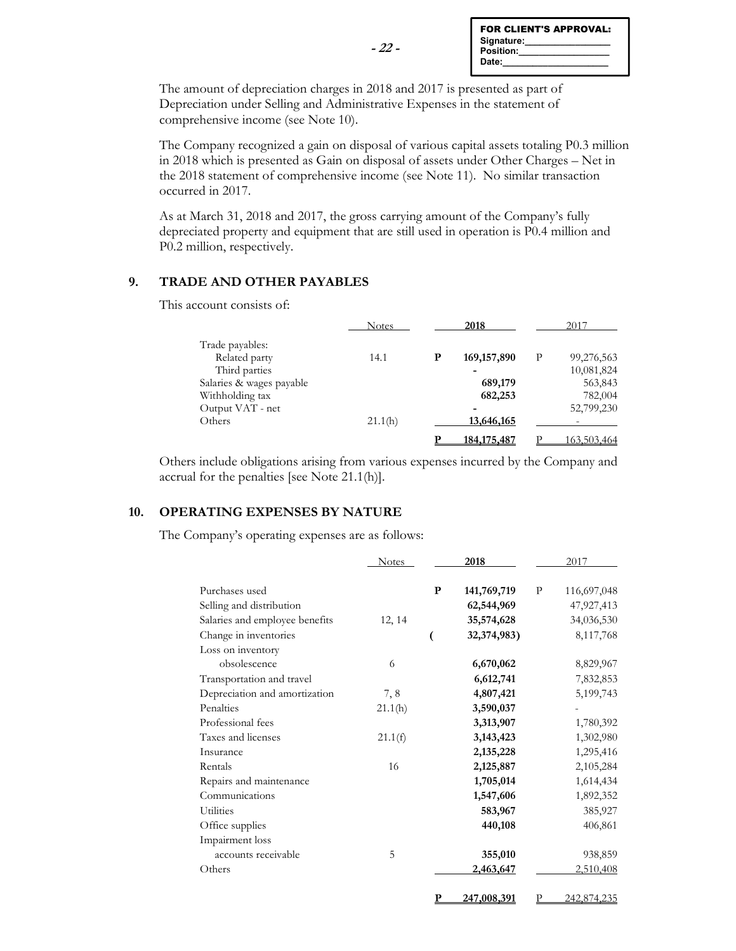The amount of depreciation charges in 2018 and 2017 is presented as part of Depreciation under Selling and Administrative Expenses in the statement of comprehensive income (see Note 10).

The Company recognized a gain on disposal of various capital assets totaling P0.3 million in 2018 which is presented as Gain on disposal of assets under Other Charges – Net in the 2018 statement of comprehensive income (see Note 11). No similar transaction occurred in 2017.

As at March 31, 2018 and 2017, the gross carrying amount of the Company's fully depreciated property and equipment that are still used in operation is P0.4 million and P0.2 million, respectively.

#### **9. TRADE AND OTHER PAYABLES**

This account consists of:

|                          | <b>Notes</b> |   | 2018          |   | 2017        |
|--------------------------|--------------|---|---------------|---|-------------|
| Trade payables:          |              |   |               |   |             |
| Related party            | 14.1         | P | 169, 157, 890 | P | 99,276,563  |
| Third parties            |              |   | ۰             |   | 10,081,824  |
| Salaries & wages payable |              |   | 689,179       |   | 563,843     |
| Withholding tax          |              |   | 682,253       |   | 782,004     |
| Output VAT - net         |              |   |               |   | 52,799,230  |
| Others                   | 21.1(h)      |   | 13,646,165    |   |             |
|                          |              |   | 184, 175, 487 |   | 163,503,464 |

Others include obligations arising from various expenses incurred by the Company and accrual for the penalties [see Note 21.1(h)].

#### **10. OPERATING EXPENSES BY NATURE**

The Company's operating expenses are as follows:

|                                | <b>Notes</b> |   | 2018        |   | 2017        |  |
|--------------------------------|--------------|---|-------------|---|-------------|--|
| Purchases used                 |              | P | 141,769,719 | P | 116,697,048 |  |
| Selling and distribution       |              |   | 62,544,969  |   | 47,927,413  |  |
| Salaries and employee benefits | 12, 14       |   | 35,574,628  |   | 34,036,530  |  |
| Change in inventories          |              |   | 32,374,983) |   | 8,117,768   |  |
| Loss on inventory              |              |   |             |   |             |  |
| obsolescence                   | 6            |   | 6,670,062   |   | 8,829,967   |  |
| Transportation and travel      |              |   | 6,612,741   |   | 7,832,853   |  |
| Depreciation and amortization  | 7, 8         |   | 4,807,421   |   | 5,199,743   |  |
| Penalties                      | 21.1(h)      |   | 3,590,037   |   |             |  |
| Professional fees              |              |   | 3,313,907   |   | 1,780,392   |  |
| Taxes and licenses             | 21.1(f)      |   | 3, 143, 423 |   | 1,302,980   |  |
| Insurance                      |              |   | 2,135,228   |   | 1,295,416   |  |
| Rentals                        | 16           |   | 2,125,887   |   | 2,105,284   |  |
| Repairs and maintenance        |              |   | 1,705,014   |   | 1,614,434   |  |
| Communications                 |              |   | 1,547,606   |   | 1,892,352   |  |
| <b>Utilities</b>               |              |   | 583,967     |   | 385,927     |  |
| Office supplies                |              |   | 440,108     |   | 406,861     |  |
| Impairment loss                |              |   |             |   |             |  |
| accounts receivable            | 5            |   | 355,010     |   | 938,859     |  |
| Others                         |              |   | 2,463,647   |   | 2,510,408   |  |
|                                |              | Р | 247,008,391 |   | 242,874,235 |  |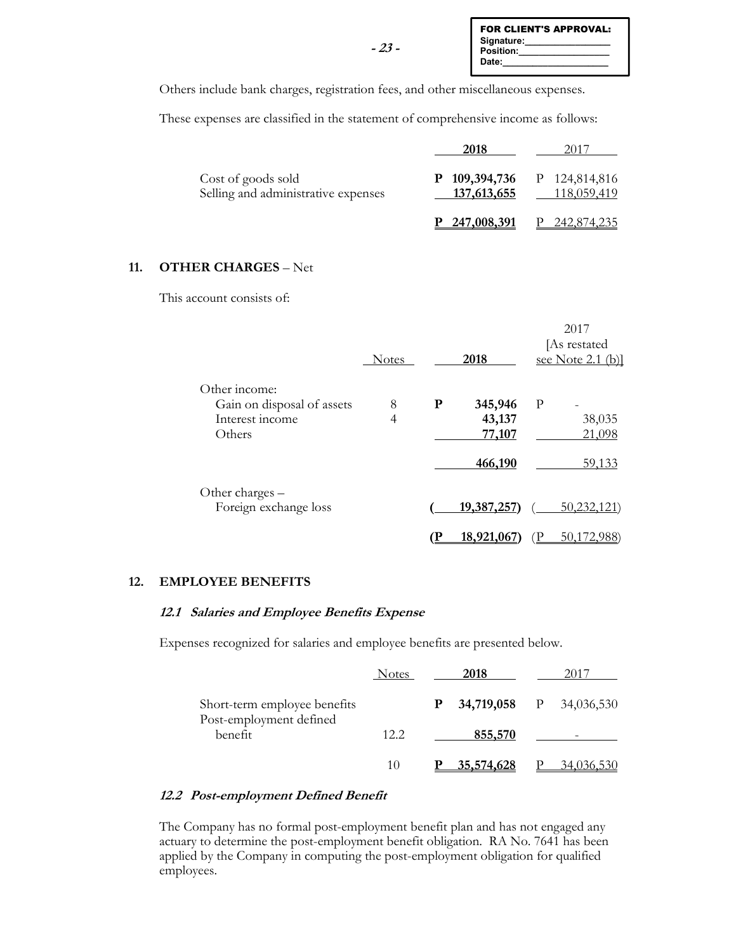Others include bank charges, registration fees, and other miscellaneous expenses.

These expenses are classified in the statement of comprehensive income as follows:

|                                                           | 2018          |                                                   |
|-----------------------------------------------------------|---------------|---------------------------------------------------|
| Cost of goods sold<br>Selling and administrative expenses | 137, 613, 655 | <b>P</b> 109,394,736 P 124,814,816<br>118,059,419 |
|                                                           | P 247,008,391 | 242.874.235                                       |

### **11. OTHER CHARGES** *–* Net

This account consists of:

|                                                                          | <b>Notes</b>        |   | 2018                        |             | 2017<br>[As restated]<br>see Note $2.1$ (b) |
|--------------------------------------------------------------------------|---------------------|---|-----------------------------|-------------|---------------------------------------------|
| Other income:<br>Gain on disposal of assets<br>Interest income<br>Others | 8<br>$\overline{4}$ | P | 345,946<br>43,137<br>77,107 | $\mathbf P$ | 38,035<br>21,098                            |
| Other charges -<br>Foreign exchange loss                                 |                     |   | 466,190<br>19,387,257)      |             | 59,133<br>50,232,121                        |
|                                                                          |                     |   | 18,921,067                  |             | 2.988<br>50.1                               |

### **12. EMPLOYEE BENEFITS**

#### **12.1 Salaries and Employee Benefits Expense**

Expenses recognized for salaries and employee benefits are presented below.

|                                                         | <b>Notes</b> | 2018 |                                |            |
|---------------------------------------------------------|--------------|------|--------------------------------|------------|
| Short-term employee benefits<br>Post-employment defined |              | P    | <b>34,719,058</b> P 34,036,530 |            |
| benefit                                                 | 12.2         |      | 855,570                        |            |
|                                                         | 10           |      | 35,574,628                     | 34,036,530 |

#### **12.2 Post-employment Defined Benefit**

The Company has no formal post-employment benefit plan and has not engaged any actuary to determine the post-employment benefit obligation. RA No. 7641 has been applied by the Company in computing the post-employment obligation for qualified employees.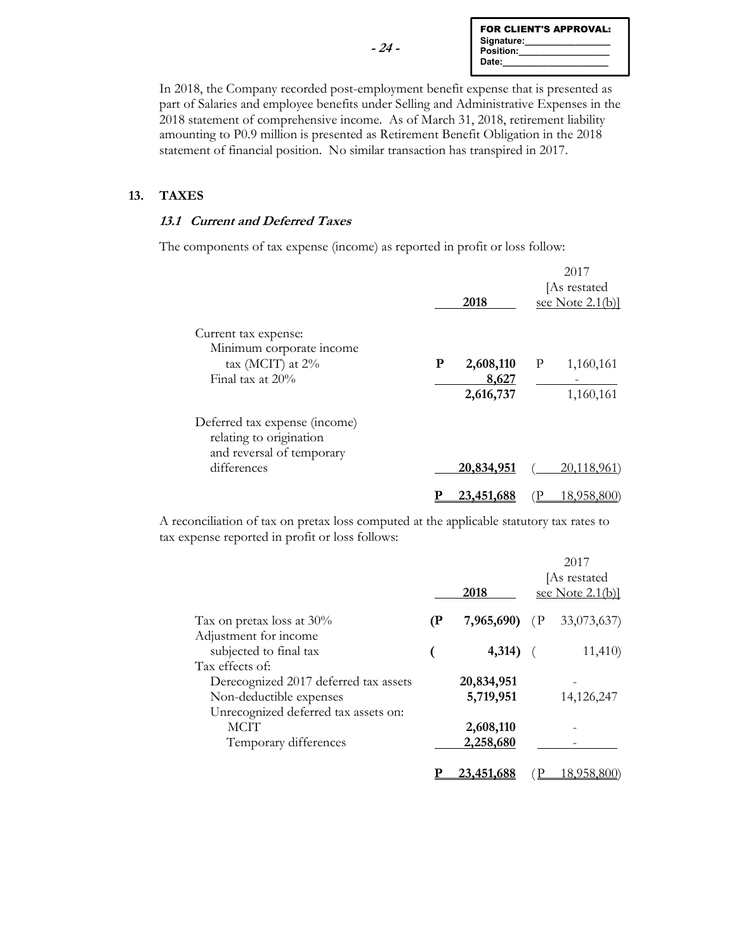In 2018, the Company recorded post-employment benefit expense that is presented as part of Salaries and employee benefits under Selling and Administrative Expenses in the 2018 statement of comprehensive income. As of March 31, 2018, retirement liability amounting to P0.9 million is presented as Retirement Benefit Obligation in the 2018 statement of financial position. No similar transaction has transpired in 2017.

## **13. TAXES**

## **13.1 Current and Deferred Taxes**

The components of tax expense (income) as reported in profit or loss follow:

|                                                                                                      | 2018                                 | 2017<br>[As restated]<br>see Note $2.1(b)$ |
|------------------------------------------------------------------------------------------------------|--------------------------------------|--------------------------------------------|
| Current tax expense:<br>Minimum corporate income<br>tax (MCIT) at $2\%$<br>Final tax at $20\%$       | P<br>2,608,110<br>8,627<br>2,616,737 | $\mathbf P$<br>1,160,161<br>1,160,161      |
| Deferred tax expense (income)<br>relating to origination<br>and reversal of temporary<br>differences | 20,834,951                           | 20,118,961)                                |
|                                                                                                      | 23,451,688                           | 8,958,800                                  |

A reconciliation of tax on pretax loss computed at the applicable statutory tax rates to tax expense reported in profit or loss follows:

|                                                                  |     | 2018                    |     | 2017<br>[As restated]<br>see Note $2.1(b)$ |
|------------------------------------------------------------------|-----|-------------------------|-----|--------------------------------------------|
| Tax on pretax loss at $30\%$                                     | (P) | 7,965,690)              | (P) | 33,073,637)                                |
| Adjustment for income<br>subjected to final tax                  |     | 4,314)                  |     | 11,410                                     |
| Tax effects of:                                                  |     |                         |     |                                            |
| Derecognized 2017 deferred tax assets<br>Non-deductible expenses |     | 20,834,951<br>5,719,951 |     | 14,126,247                                 |
| Unrecognized deferred tax assets on:                             |     |                         |     |                                            |
| <b>MCIT</b>                                                      |     | 2,608,110               |     |                                            |
| Temporary differences                                            |     | 2,258,680               |     |                                            |
|                                                                  |     | 23,451,688              |     | 8,958,800                                  |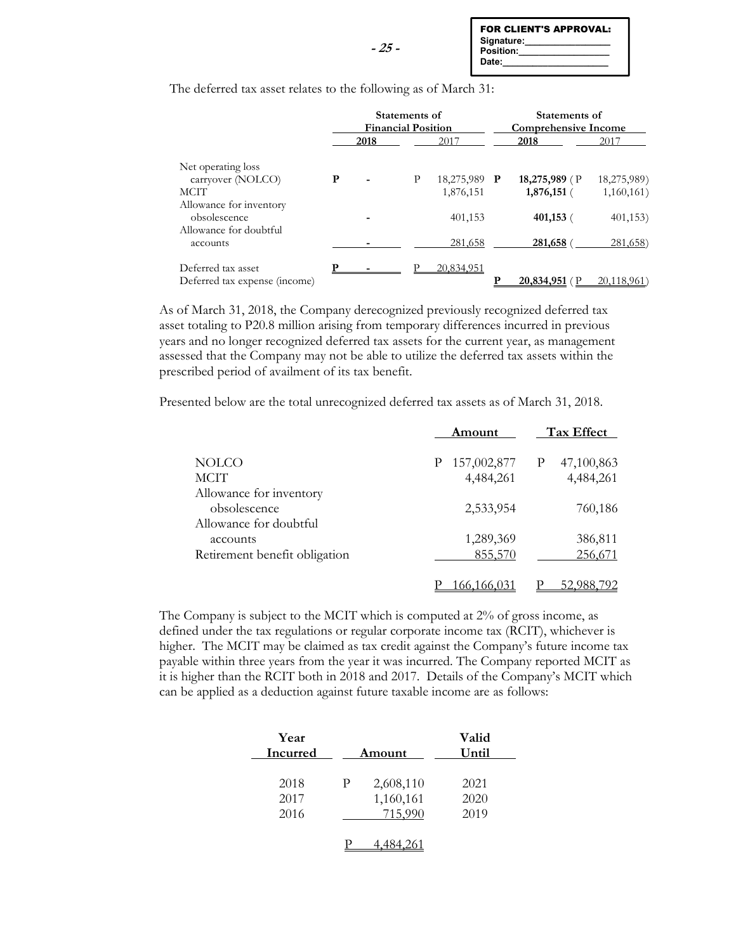|                  | <b>FOR CLIENT'S APPROVAL:</b> |
|------------------|-------------------------------|
| Signature:       |                               |
| <b>Position:</b> |                               |
| Date:            |                               |

The deferred tax asset relates to the following as of March 31:

|                               | Statements of<br><b>Financial Position</b> |      |   | Statements of<br><b>Comprehensive Income</b> |  |                  |             |
|-------------------------------|--------------------------------------------|------|---|----------------------------------------------|--|------------------|-------------|
|                               |                                            | 2018 |   | 2017                                         |  | 2018             | 2017        |
| Net operating loss            |                                            |      |   |                                              |  |                  |             |
| carryover (NOLCO)             | P                                          |      | P | 18,275,989 P                                 |  | 18,275,989 $(P)$ | 18,275,989) |
| <b>MCIT</b>                   |                                            |      |   | 1,876,151                                    |  | 1,876,151(       | 1,160,161)  |
| Allowance for inventory       |                                            |      |   |                                              |  |                  |             |
| obsolescence                  |                                            |      |   | 401,153                                      |  | 401,153          | 401,153     |
| Allowance for doubtful        |                                            |      |   |                                              |  |                  |             |
| accounts                      |                                            |      |   | 281,658                                      |  | 281,658          | 281,658)    |
| Deferred tax asset            |                                            |      |   | 20.834.951                                   |  |                  |             |
| Deferred tax expense (income) |                                            |      |   |                                              |  | 20,834,951       | 20,118,961  |

As of March 31, 2018, the Company derecognized previously recognized deferred tax asset totaling to P20.8 million arising from temporary differences incurred in previous years and no longer recognized deferred tax assets for the current year, as management assessed that the Company may not be able to utilize the deferred tax assets within the prescribed period of availment of its tax benefit.

Presented below are the total unrecognized deferred tax assets as of March 31, 2018.

|                                                        | Amount                        | <b>Tax Effect</b>                       |
|--------------------------------------------------------|-------------------------------|-----------------------------------------|
| <b>NOLCO</b><br><b>MCIT</b><br>Allowance for inventory | 157,002,877<br>P<br>4,484,261 | 47,100,863<br>$\mathsf{P}$<br>4,484,261 |
| obsolescence<br>Allowance for doubtful                 | 2,533,954                     | 760,186                                 |
| accounts<br>Retirement benefit obligation              | 1,289,369<br>855,570          | 386,811<br>256,671                      |
|                                                        | 166,166,03                    |                                         |

The Company is subject to the MCIT which is computed at 2% of gross income, as defined under the tax regulations or regular corporate income tax (RCIT), whichever is higher. The MCIT may be claimed as tax credit against the Company's future income tax payable within three years from the year it was incurred. The Company reported MCIT as it is higher than the RCIT both in 2018 and 2017. Details of the Company's MCIT which can be applied as a deduction against future taxable income are as follows:

| Year<br>Incurred     |   | Amount                            | Valid<br>Until       |
|----------------------|---|-----------------------------------|----------------------|
|                      |   |                                   |                      |
| 2018<br>2017<br>2016 | P | 2,608,110<br>1,160,161<br>715,990 | 2021<br>2020<br>2019 |
|                      | D |                                   |                      |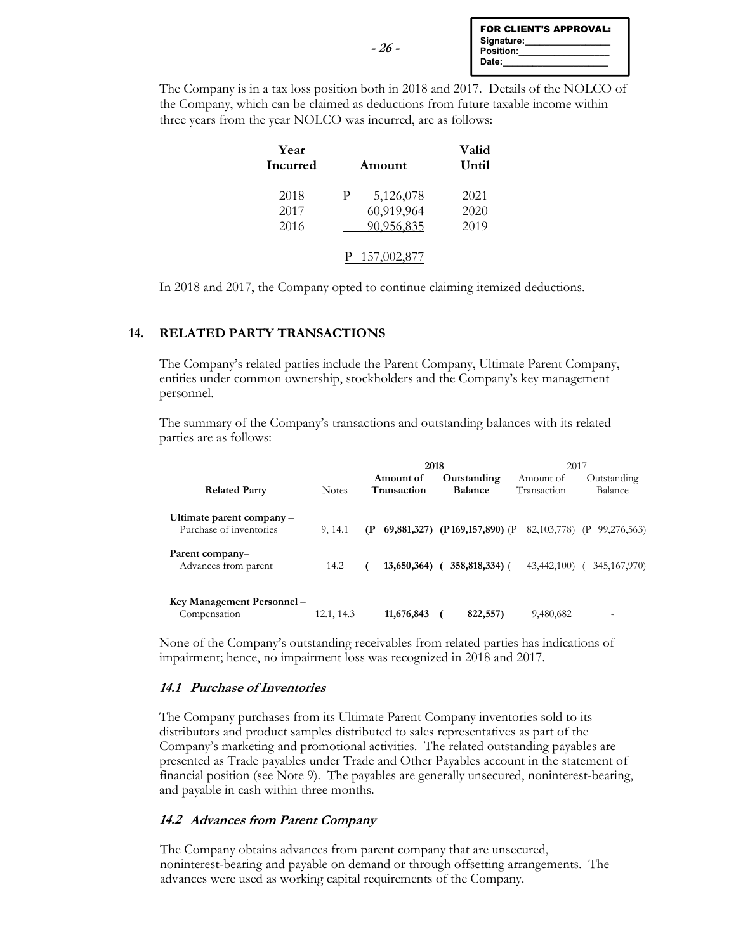The Company is in a tax loss position both in 2018 and 2017. Details of the NOLCO of the Company, which can be claimed as deductions from future taxable income within three years from the year NOLCO was incurred, are as follows:

| Year<br>Incurred     | Amount                                     | Valid<br>Until       |
|----------------------|--------------------------------------------|----------------------|
| 2018<br>2017<br>2016 | 5,126,078<br>P<br>60,919,964<br>90,956,835 | 2021<br>2020<br>2019 |
|                      |                                            |                      |

In 2018 and 2017, the Company opted to continue claiming itemized deductions.

## **14. RELATED PARTY TRANSACTIONS**

The Company's related parties include the Parent Company, Ultimate Parent Company, entities under common ownership, stockholders and the Company's key management personnel.

The summary of the Company's transactions and outstanding balances with its related parties are as follows:

|                                                      |              |    | 2018                            |  | 2017                           |                          |                                                                 |
|------------------------------------------------------|--------------|----|---------------------------------|--|--------------------------------|--------------------------|-----------------------------------------------------------------|
| <b>Related Party</b>                                 | <b>Notes</b> |    | Amount of<br><b>Transaction</b> |  | Outstanding<br><b>Balance</b>  | Amount of<br>Transaction | Outstanding<br>Balance                                          |
| Ultimate parent company –<br>Purchase of inventories | 9.14.1       | (P |                                 |  |                                |                          | <b>69,881,327)</b> (P169,157,890) (P 82,103,778) (P 99,276,563) |
| Parent company-<br>Advances from parent              | 14.2         |    |                                 |  | $13,650,364$ ( $358,818,334$ ( | $43,442,100$ (           | 345, 167, 970)                                                  |
| Key Management Personnel-<br>Compensation            | 12.1, 14.3   |    | 11,676,843                      |  | 822,557)                       | 9,480,682                |                                                                 |

None of the Company's outstanding receivables from related parties has indications of impairment; hence, no impairment loss was recognized in 2018 and 2017.

#### **14.1 Purchase of Inventories**

The Company purchases from its Ultimate Parent Company inventories sold to its distributors and product samples distributed to sales representatives as part of the Company's marketing and promotional activities. The related outstanding payables are presented as Trade payables under Trade and Other Payables account in the statement of financial position (see Note 9). The payables are generally unsecured, noninterest-bearing, and payable in cash within three months.

#### **14.2 Advances from Parent Company**

The Company obtains advances from parent company that are unsecured, noninterest-bearing and payable on demand or through offsetting arrangements. The advances were used as working capital requirements of the Company.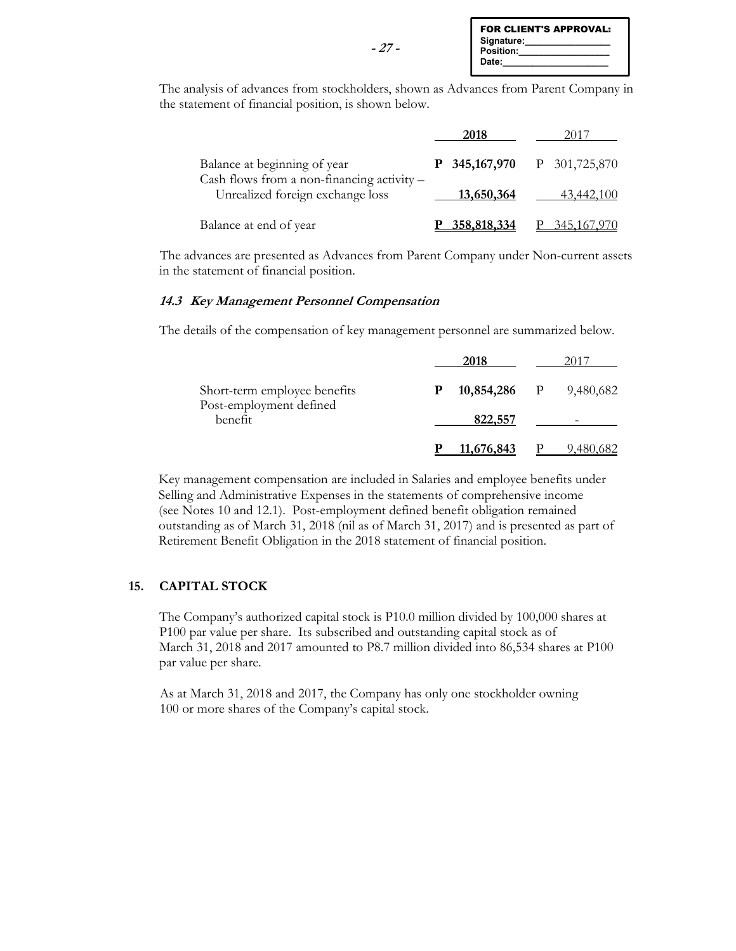| <b>FOR CLIENT'S APPROVAL:</b> |
|-------------------------------|
| Signature:                    |
| Position:                     |
| Date:                         |
|                               |

The analysis of advances from stockholders, shown as Advances from Parent Company in the statement of financial position, is shown below.

|                                                                            | 2018               | 2017          |
|----------------------------------------------------------------------------|--------------------|---------------|
| Balance at beginning of year<br>Cash flows from a non-financing activity - | P 345,167,970      | P 301,725,870 |
| Unrealized foreign exchange loss                                           | <u>13,650,364</u>  | 43,442,100    |
| Balance at end of year                                                     | <u>358,818,334</u> | 345 167 970   |

 The advances are presented as Advances from Parent Company under Non-current assets in the statement of financial position.

## **14.3 Key Management Personnel Compensation**

The details of the compensation of key management personnel are summarized below.

|                                                         | 2018                |           |
|---------------------------------------------------------|---------------------|-----------|
| Short-term employee benefits<br>Post-employment defined | $10,854,286$ P<br>Р | 9,480,682 |
| benefit                                                 | 822,557             |           |
|                                                         | 11,676,843          | 9,480,682 |

Key management compensation are included in Salaries and employee benefits under Selling and Administrative Expenses in the statements of comprehensive income (see Notes 10 and 12.1). Post-employment defined benefit obligation remained outstanding as of March 31, 2018 (nil as of March 31, 2017) and is presented as part of Retirement Benefit Obligation in the 2018 statement of financial position.

## **15. CAPITAL STOCK**

The Company's authorized capital stock is P10.0 million divided by 100,000 shares at P100 par value per share. Its subscribed and outstanding capital stock as of March 31, 2018 and 2017 amounted to P8.7 million divided into 86,534 shares at P100 par value per share.

As at March 31, 2018 and 2017, the Company has only one stockholder owning 100 or more shares of the Company's capital stock.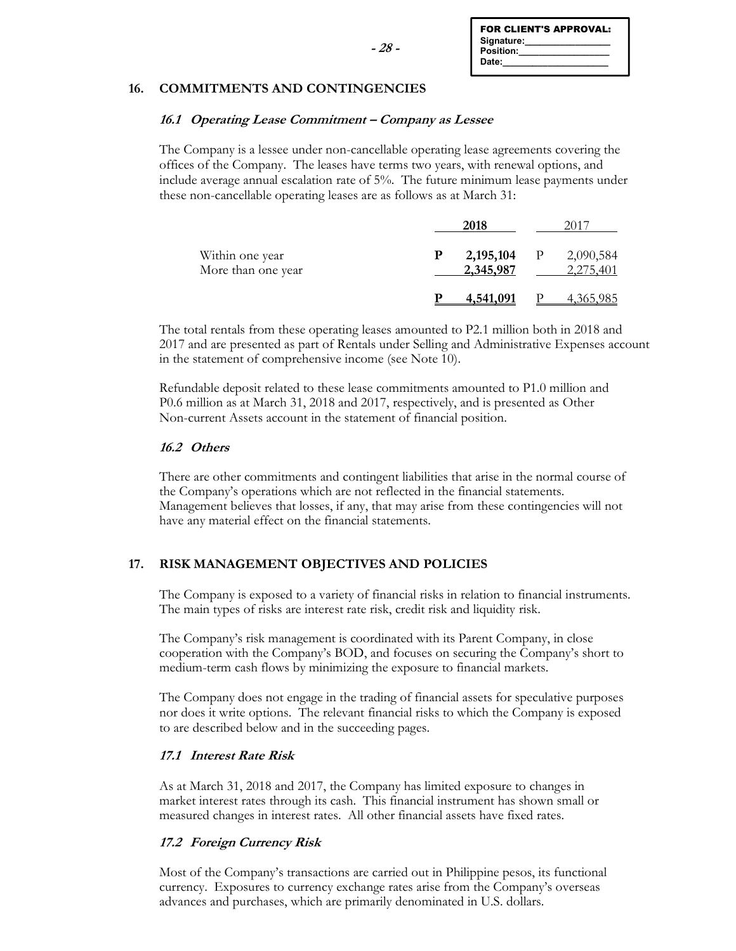| <b>FOR CLIENT'S APPROVAL:</b> |
|-------------------------------|
| Signature:                    |
| Position:                     |
| Date:                         |
|                               |

## **16. COMMITMENTS AND CONTINGENCIES**

### **16.1 Operating Lease Commitment – Company as Lessee**

The Company is a lessee under non-cancellable operating lease agreements covering the offices of the Company. The leases have terms two years, with renewal options, and include average annual escalation rate of 5%. The future minimum lease payments under these non-cancellable operating leases are as follows as at March 31:

|                                       |   | 2018                   |   |                        |
|---------------------------------------|---|------------------------|---|------------------------|
| Within one year<br>More than one year | P | 2,195,104<br>2,345,987 | Ρ | 2,090,584<br>2,275,401 |
|                                       |   | 4,541,091              |   | 4,365,985              |

The total rentals from these operating leases amounted to P2.1 million both in 2018 and 2017 and are presented as part of Rentals under Selling and Administrative Expenses account in the statement of comprehensive income (see Note 10).

Refundable deposit related to these lease commitments amounted to P1.0 million and P0.6 million as at March 31, 2018 and 2017, respectively, and is presented as Other Non-current Assets account in the statement of financial position.

#### **16.2 Others**

There are other commitments and contingent liabilities that arise in the normal course of the Company's operations which are not reflected in the financial statements. Management believes that losses, if any, that may arise from these contingencies will not have any material effect on the financial statements.

## **17. RISK MANAGEMENT OBJECTIVES AND POLICIES**

The Company is exposed to a variety of financial risks in relation to financial instruments. The main types of risks are interest rate risk, credit risk and liquidity risk.

The Company's risk management is coordinated with its Parent Company, in close cooperation with the Company's BOD, and focuses on securing the Company's short to medium-term cash flows by minimizing the exposure to financial markets.

The Company does not engage in the trading of financial assets for speculative purposes nor does it write options. The relevant financial risks to which the Company is exposed to are described below and in the succeeding pages.

## **17.1 Interest Rate Risk**

As at March 31, 2018 and 2017, the Company has limited exposure to changes in market interest rates through its cash. This financial instrument has shown small or measured changes in interest rates. All other financial assets have fixed rates.

## **17.2 Foreign Currency Risk**

Most of the Company's transactions are carried out in Philippine pesos, its functional currency. Exposures to currency exchange rates arise from the Company's overseas advances and purchases, which are primarily denominated in U.S. dollars.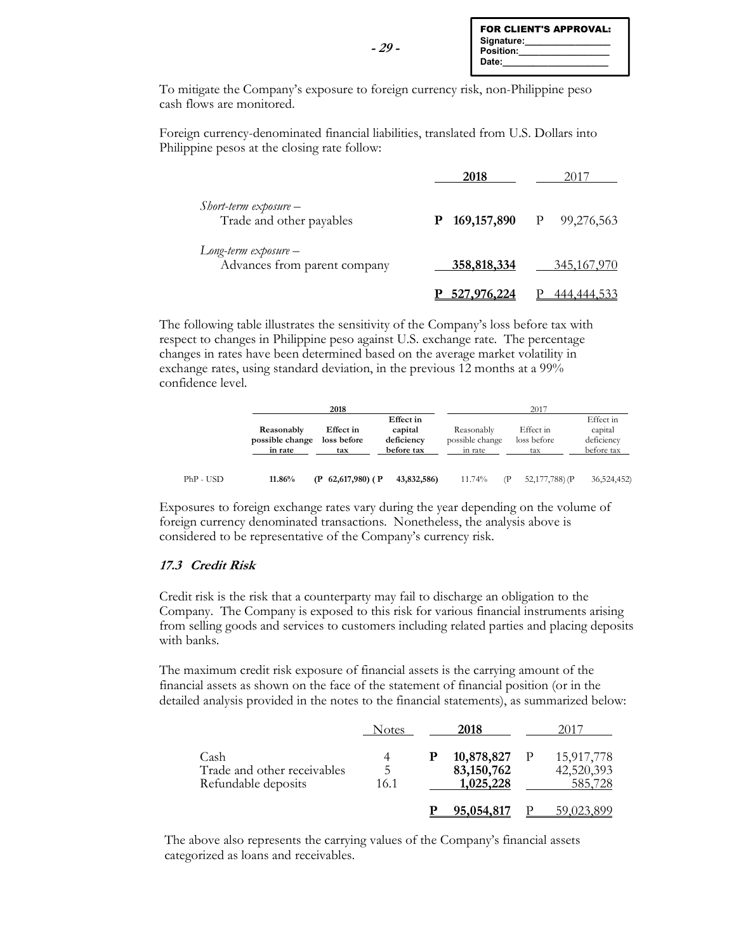| <b>FOR CLIENT'S APPROVAL:</b> |  |  |  |  |  |  |  |
|-------------------------------|--|--|--|--|--|--|--|
| Signature:                    |  |  |  |  |  |  |  |
| Position:                     |  |  |  |  |  |  |  |
| Date:                         |  |  |  |  |  |  |  |
|                               |  |  |  |  |  |  |  |

To mitigate the Company's exposure to foreign currency risk, non-Philippine peso cash flows are monitored.

Foreign currency-denominated financial liabilities, translated from U.S. Dollars into Philippine pesos at the closing rate follow:

|                                                          | 2018               | 2011                       |
|----------------------------------------------------------|--------------------|----------------------------|
| $Short-term$ exposure $-$<br>Trade and other payables    | 169, 157, 890<br>P | 99,276,563<br>$\mathbf{P}$ |
| $Long-term$ exposure $-$<br>Advances from parent company | 358,818,334        | <u>345,167,970</u>         |
|                                                          | 527,976,224        |                            |

The following table illustrates the sensitivity of the Company's loss before tax with respect to changes in Philippine peso against U.S. exchange rate. The percentage changes in rates have been determined based on the average market volatility in exchange rates, using standard deviation, in the previous 12 months at a 99% confidence level.

|           |                                          | 2018                            |                                                  |                                          |   | 2017                            |                                                  |
|-----------|------------------------------------------|---------------------------------|--------------------------------------------------|------------------------------------------|---|---------------------------------|--------------------------------------------------|
|           | Reasonably<br>possible change<br>in rate | Effect in<br>loss before<br>tax | Effect in<br>capital<br>deficiency<br>before tax | Reasonably<br>possible change<br>in rate |   | Effect in<br>loss before<br>tax | Effect in<br>capital<br>deficiency<br>before tax |
| PhP - USD | 11.86%                                   | (P 62,617,980) (P               | 43,832,586)                                      | 11.74%                                   | P | 52,177,788) (P                  | 36,524,452)                                      |

Exposures to foreign exchange rates vary during the year depending on the volume of foreign currency denominated transactions. Nonetheless, the analysis above is considered to be representative of the Company's currency risk.

#### **17.3 Credit Risk**

Credit risk is the risk that a counterparty may fail to discharge an obligation to the Company. The Company is exposed to this risk for various financial instruments arising from selling goods and services to customers including related parties and placing deposits with banks.

The maximum credit risk exposure of financial assets is the carrying amount of the financial assets as shown on the face of the statement of financial position (or in the detailed analysis provided in the notes to the financial statements), as summarized below:

|                                                            | Notes | 2018                                  | 2017                                |
|------------------------------------------------------------|-------|---------------------------------------|-------------------------------------|
| Cash<br>Trade and other receivables<br>Refundable deposits | 16.1  | 10,878,827<br>83,150,762<br>1,025,228 | 15,917,778<br>42,520,393<br>585,728 |
|                                                            |       | 95.054.817                            |                                     |

The above also represents the carrying values of the Company's financial assets categorized as loans and receivables.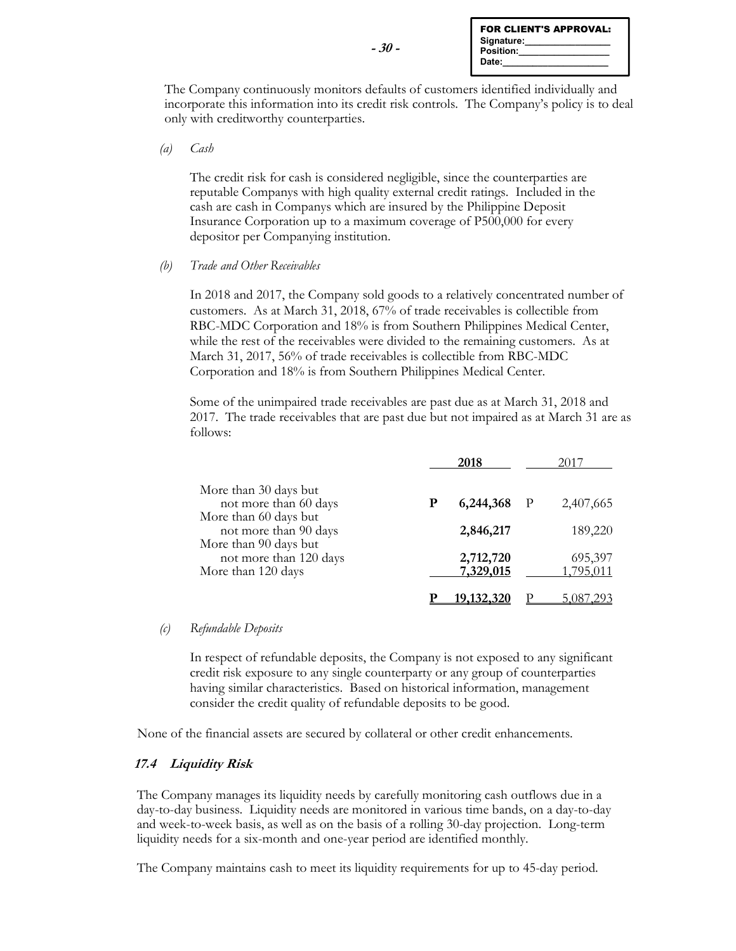The Company continuously monitors defaults of customers identified individually and incorporate this information into its credit risk controls. The Company's policy is to deal only with creditworthy counterparties.

*(a) Cash* 

The credit risk for cash is considered negligible, since the counterparties are reputable Companys with high quality external credit ratings. Included in the cash are cash in Companys which are insured by the Philippine Deposit Insurance Corporation up to a maximum coverage of P500,000 for every depositor per Companying institution.

*(b) Trade and Other Receivables* 

In 2018 and 2017, the Company sold goods to a relatively concentrated number of customers. As at March 31, 2018, 67% of trade receivables is collectible from RBC-MDC Corporation and 18% is from Southern Philippines Medical Center, while the rest of the receivables were divided to the remaining customers. As at March 31, 2017, 56% of trade receivables is collectible from RBC-MDC Corporation and 18% is from Southern Philippines Medical Center.

Some of the unimpaired trade receivables are past due as at March 31, 2018 and 2017. The trade receivables that are past due but not impaired as at March 31 are as follows:

|                                                                       |   | 2018                   | 2017                 |
|-----------------------------------------------------------------------|---|------------------------|----------------------|
| More than 30 days but<br>not more than 60 days                        | P | 6,244,368              | 2,407,665            |
| More than 60 days but<br>not more than 90 days                        |   | 2,846,217              | 189,220              |
| More than 90 days but<br>not more than 120 days<br>More than 120 days |   | 2,712,720<br>7,329,015 | 695,397<br>1,795,011 |
|                                                                       |   |                        |                      |

*(c) Refundable Deposits* 

In respect of refundable deposits, the Company is not exposed to any significant credit risk exposure to any single counterparty or any group of counterparties having similar characteristics. Based on historical information, management consider the credit quality of refundable deposits to be good.

None of the financial assets are secured by collateral or other credit enhancements.

#### **17.4 Liquidity Risk**

The Company manages its liquidity needs by carefully monitoring cash outflows due in a day-to-day business. Liquidity needs are monitored in various time bands, on a day-to-day and week-to-week basis, as well as on the basis of a rolling 30-day projection. Long-term liquidity needs for a six-month and one-year period are identified monthly.

The Company maintains cash to meet its liquidity requirements for up to 45-day period.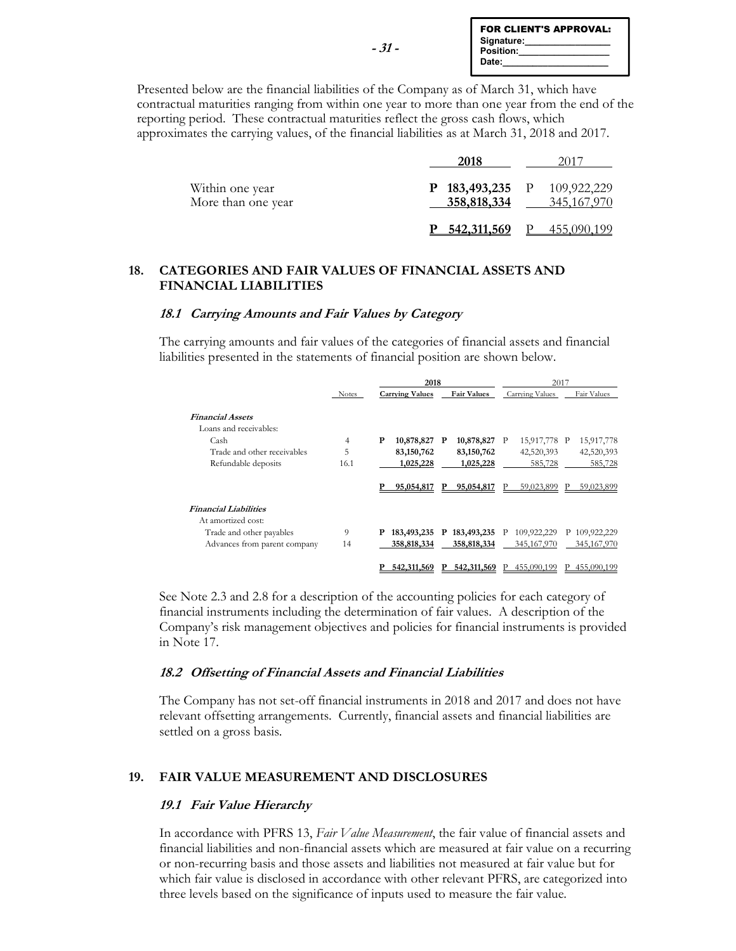| <b>FOR CLIENT'S APPROVAL:</b> |
|-------------------------------|
| Signature:                    |
| Position:                     |
| Date:                         |
|                               |

Presented below are the financial liabilities of the Company as of March 31, which have contractual maturities ranging from within one year to more than one year from the end of the reporting period. These contractual maturities reflect the gross cash flows, which approximates the carrying values, of the financial liabilities as at March 31, 2018 and 2017.

|                                       | 2018        |                                                     |
|---------------------------------------|-------------|-----------------------------------------------------|
| Within one year<br>More than one year | 358,818,334 | <b>P</b> 183,493,235 P 109,922,229<br>345, 167, 970 |
|                                       | 542,311,569 | 455,090,199                                         |

## **18. CATEGORIES AND FAIR VALUES OF FINANCIAL ASSETS AND FINANCIAL LIABILITIES**

#### **18.1 Carrying Amounts and Fair Values by Category**

The carrying amounts and fair values of the categories of financial assets and financial liabilities presented in the statements of financial position are shown below.

|                              |       |   | 2018                   |   |                    |     | 2017            |               |
|------------------------------|-------|---|------------------------|---|--------------------|-----|-----------------|---------------|
|                              | Notes |   | <b>Carrying Values</b> |   | <b>Fair Values</b> |     | Carrying Values | Fair Values   |
| <b>Financial Assets</b>      |       |   |                        |   |                    |     |                 |               |
| Loans and receivables:       |       |   |                        |   |                    |     |                 |               |
| Cash                         | 4     | P | 10,878,827 P           |   | 10,878,827         | - P | 15,917,778 P    | 15,917,778    |
| Trade and other receivables  | 5     |   | 83, 150, 762           |   | 83,150,762         |     | 42,520,393      | 42,520,393    |
| Refundable deposits          | 16.1  |   | 1,025,228              |   | 1,025,228          |     | 585,728         | 585,728       |
|                              |       |   | 95,054,817             | P | 95,054,817         |     | 59,023,899      | 59,023,899    |
| <b>Financial Liabilities</b> |       |   |                        |   |                    |     |                 |               |
| At amortized cost:           |       |   |                        |   |                    |     |                 |               |
| Trade and other payables     | 9     | P | 183,493,235            |   | P 183,493,235      | P   | 109,922,229     | P 109,922,229 |
| Advances from parent company | 14    |   | 358,818,334            |   | 358,818,334        |     | 345, 167, 970   | 345,167,970   |
|                              |       |   | 542,311,569            |   | 542,311,569        |     | 455,090,199     | 455,090,199   |

See Note 2.3 and 2.8 for a description of the accounting policies for each category of financial instruments including the determination of fair values. A description of the Company's risk management objectives and policies for financial instruments is provided in Note 17.

#### **18.2 Offsetting of Financial Assets and Financial Liabilities**

The Company has not set-off financial instruments in 2018 and 2017 and does not have relevant offsetting arrangements. Currently, financial assets and financial liabilities are settled on a gross basis.

## **19. FAIR VALUE MEASUREMENT AND DISCLOSURES**

## **19.1 Fair Value Hierarchy**

In accordance with PFRS 13, *Fair Value Measurement*, the fair value of financial assets and financial liabilities and non-financial assets which are measured at fair value on a recurring or non-recurring basis and those assets and liabilities not measured at fair value but for which fair value is disclosed in accordance with other relevant PFRS, are categorized into three levels based on the significance of inputs used to measure the fair value.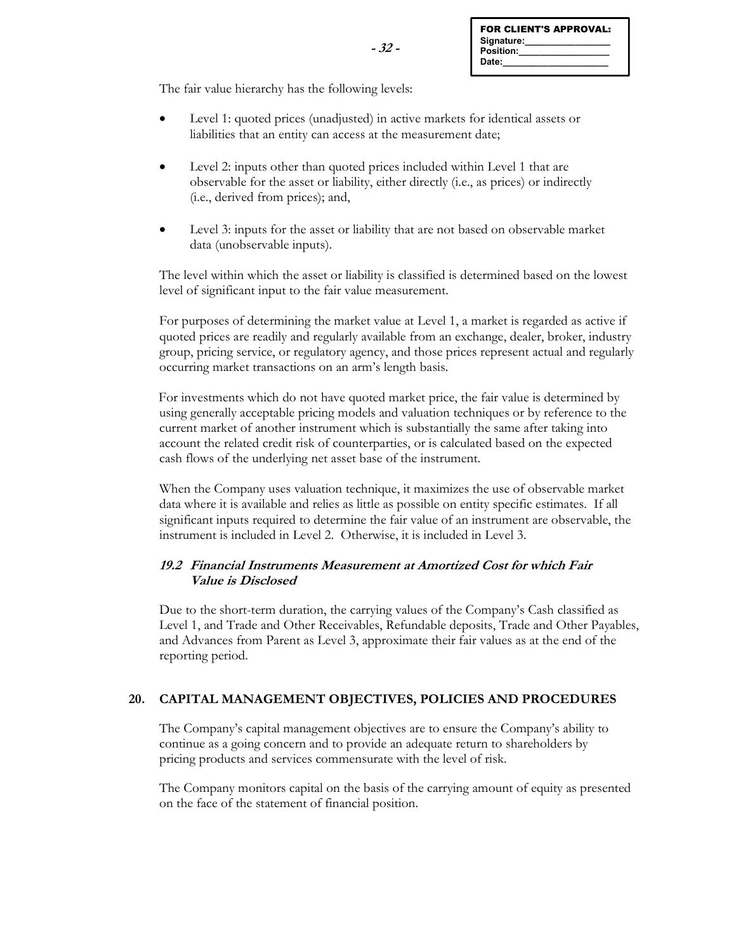The fair value hierarchy has the following levels:

- Level 1: quoted prices (unadjusted) in active markets for identical assets or liabilities that an entity can access at the measurement date;
- Level 2: inputs other than quoted prices included within Level 1 that are observable for the asset or liability, either directly (i.e., as prices) or indirectly (i.e., derived from prices); and,
- Level 3: inputs for the asset or liability that are not based on observable market data (unobservable inputs).

The level within which the asset or liability is classified is determined based on the lowest level of significant input to the fair value measurement.

For purposes of determining the market value at Level 1, a market is regarded as active if quoted prices are readily and regularly available from an exchange, dealer, broker, industry group, pricing service, or regulatory agency, and those prices represent actual and regularly occurring market transactions on an arm's length basis.

For investments which do not have quoted market price, the fair value is determined by using generally acceptable pricing models and valuation techniques or by reference to the current market of another instrument which is substantially the same after taking into account the related credit risk of counterparties, or is calculated based on the expected cash flows of the underlying net asset base of the instrument.

When the Company uses valuation technique, it maximizes the use of observable market data where it is available and relies as little as possible on entity specific estimates. If all significant inputs required to determine the fair value of an instrument are observable, the instrument is included in Level 2. Otherwise, it is included in Level 3.

## **19.2 Financial Instruments Measurement at Amortized Cost for which Fair Value is Disclosed**

Due to the short-term duration, the carrying values of the Company's Cash classified as Level 1, and Trade and Other Receivables, Refundable deposits, Trade and Other Payables, and Advances from Parent as Level 3, approximate their fair values as at the end of the reporting period.

# **20. CAPITAL MANAGEMENT OBJECTIVES, POLICIES AND PROCEDURES**

The Company's capital management objectives are to ensure the Company's ability to continue as a going concern and to provide an adequate return to shareholders by pricing products and services commensurate with the level of risk.

The Company monitors capital on the basis of the carrying amount of equity as presented on the face of the statement of financial position.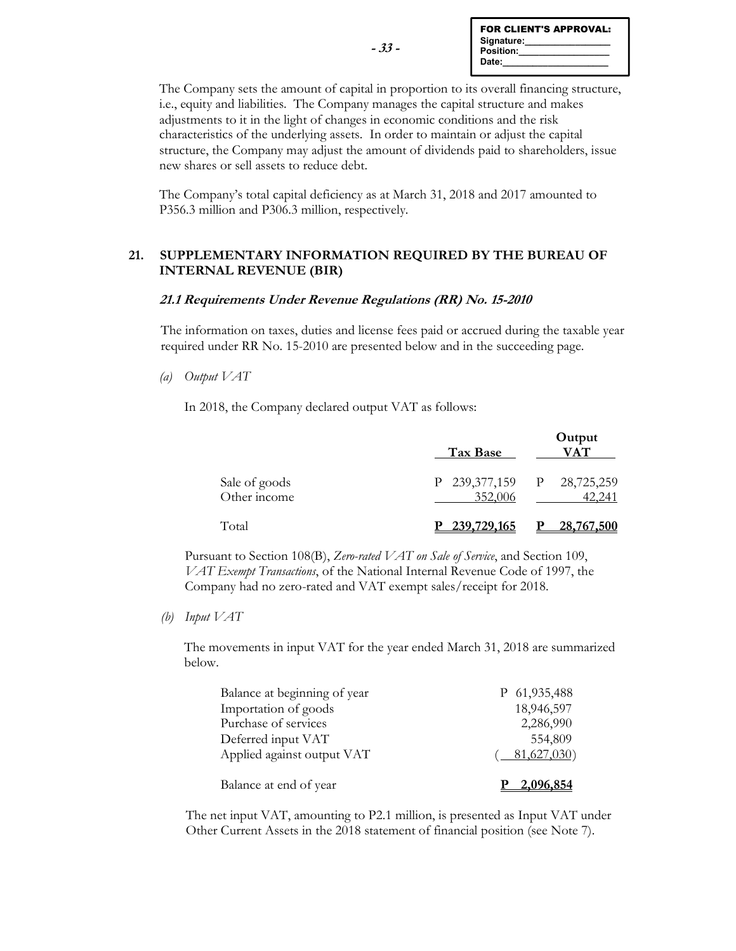The Company sets the amount of capital in proportion to its overall financing structure, i.e., equity and liabilities. The Company manages the capital structure and makes adjustments to it in the light of changes in economic conditions and the risk characteristics of the underlying assets. In order to maintain or adjust the capital structure, the Company may adjust the amount of dividends paid to shareholders, issue new shares or sell assets to reduce debt.

The Company's total capital deficiency as at March 31, 2018 and 2017 amounted to P356.3 million and P306.3 million, respectively.

# **21. SUPPLEMENTARY INFORMATION REQUIRED BY THE BUREAU OF INTERNAL REVENUE (BIR)**

## **21.1 Requirements Under Revenue Regulations (RR) No. 15-2010**

The information on taxes, duties and license fees paid or accrued during the taxable year required under RR No. 15-2010 are presented below and in the succeeding page.

*(a) Output VAT* 

In 2018, the Company declared output VAT as follows:

|                               | Tax Base           | Output<br>VAT                        |
|-------------------------------|--------------------|--------------------------------------|
| Sale of goods<br>Other income | 352,006            | P 239,377,159 P 28,725,259<br>42,241 |
| Total                         | <u>239,729,165</u> | 28,767,500                           |

Pursuant to Section 108(B), *Zero-rated VAT on Sale of Service*, and Section 109, *VAT Exempt Transactions*, of the National Internal Revenue Code of 1997, the Company had no zero-rated and VAT exempt sales/receipt for 2018.

*(b) Input VAT* 

The movements in input VAT for the year ended March 31, 2018 are summarized below.

| Balance at beginning of year | P 61,935,488 |
|------------------------------|--------------|
| Importation of goods         | 18,946,597   |
| Purchase of services         | 2,286,990    |
| Deferred input VAT           | 554,809      |
| Applied against output VAT   | 81,627,030   |
| Balance at end of year       | 2,096,854    |

The net input VAT, amounting to P2.1 million, is presented as Input VAT under Other Current Assets in the 2018 statement of financial position (see Note 7).